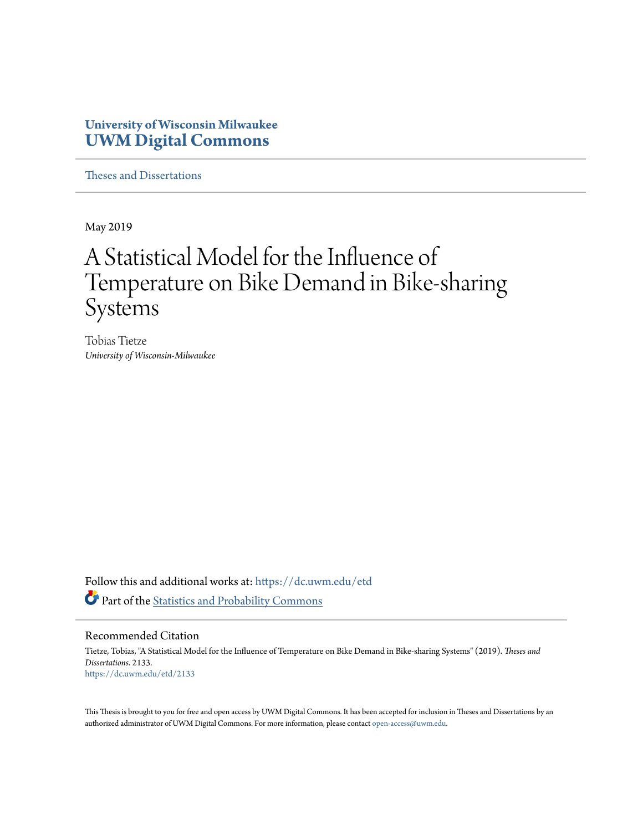## **University of Wisconsin Milwaukee [UWM Digital Commons](https://dc.uwm.edu/?utm_source=dc.uwm.edu%2Fetd%2F2133&utm_medium=PDF&utm_campaign=PDFCoverPages)**

[Theses and Dissertations](https://dc.uwm.edu/etd?utm_source=dc.uwm.edu%2Fetd%2F2133&utm_medium=PDF&utm_campaign=PDFCoverPages)

May 2019

# A Statistical Model for the Influence of Temperature on Bike Demand in Bike-sharing Systems

Tobias Tietze *University of Wisconsin-Milwaukee*

Follow this and additional works at: [https://dc.uwm.edu/etd](https://dc.uwm.edu/etd?utm_source=dc.uwm.edu%2Fetd%2F2133&utm_medium=PDF&utm_campaign=PDFCoverPages) Part of the [Statistics and Probability Commons](http://network.bepress.com/hgg/discipline/208?utm_source=dc.uwm.edu%2Fetd%2F2133&utm_medium=PDF&utm_campaign=PDFCoverPages)

#### Recommended Citation

Tietze, Tobias, "A Statistical Model for the Influence of Temperature on Bike Demand in Bike-sharing Systems" (2019). *Theses and Dissertations*. 2133. [https://dc.uwm.edu/etd/2133](https://dc.uwm.edu/etd/2133?utm_source=dc.uwm.edu%2Fetd%2F2133&utm_medium=PDF&utm_campaign=PDFCoverPages)

This Thesis is brought to you for free and open access by UWM Digital Commons. It has been accepted for inclusion in Theses and Dissertations by an authorized administrator of UWM Digital Commons. For more information, please contact [open-access@uwm.edu.](mailto:open-access@uwm.edu)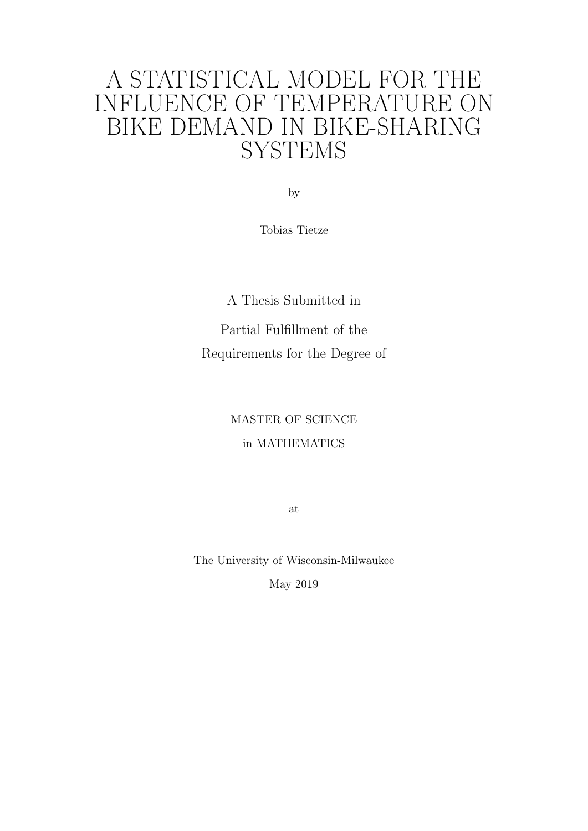# A STATISTICAL MODEL FOR THE INFLUENCE OF TEMPERATURE ON BIKE DEMAND IN BIKE-SHARING **SYSTEMS**

by

Tobias Tietze

A Thesis Submitted in Partial Fulfillment of the Requirements for the Degree of

## MASTER OF SCIENCE in MATHEMATICS

at

The University of Wisconsin-Milwaukee May 2019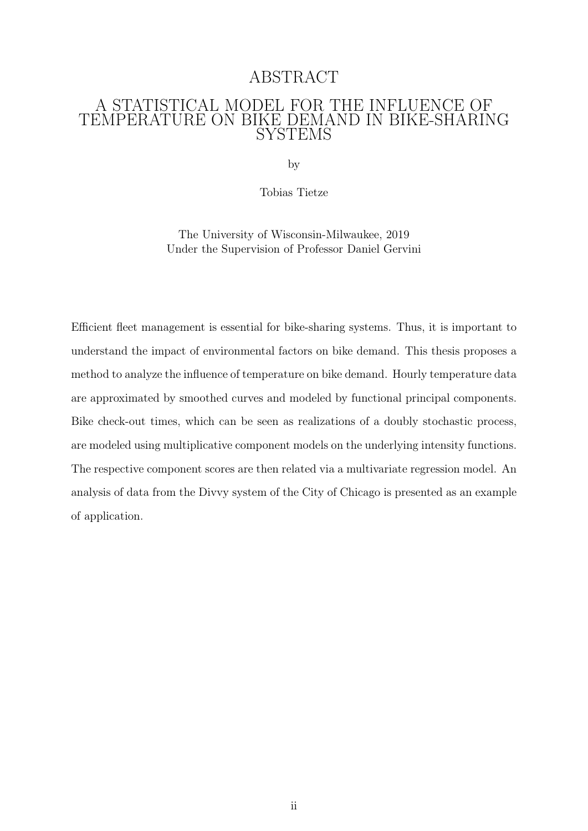## ABSTRACT

#### A STATISTICAL MODEL FOR THE INFLUENCE OF TEMPERATURE ON BIKE DEMAND IN BIKE-SHARING SYSTEMS

by

Tobias Tietze

The University of Wisconsin-Milwaukee, 2019 Under the Supervision of Professor Daniel Gervini

Efficient fleet management is essential for bike-sharing systems. Thus, it is important to understand the impact of environmental factors on bike demand. This thesis proposes a method to analyze the influence of temperature on bike demand. Hourly temperature data are approximated by smoothed curves and modeled by functional principal components. Bike check-out times, which can be seen as realizations of a doubly stochastic process, are modeled using multiplicative component models on the underlying intensity functions. The respective component scores are then related via a multivariate regression model. An analysis of data from the Divvy system of the City of Chicago is presented as an example of application.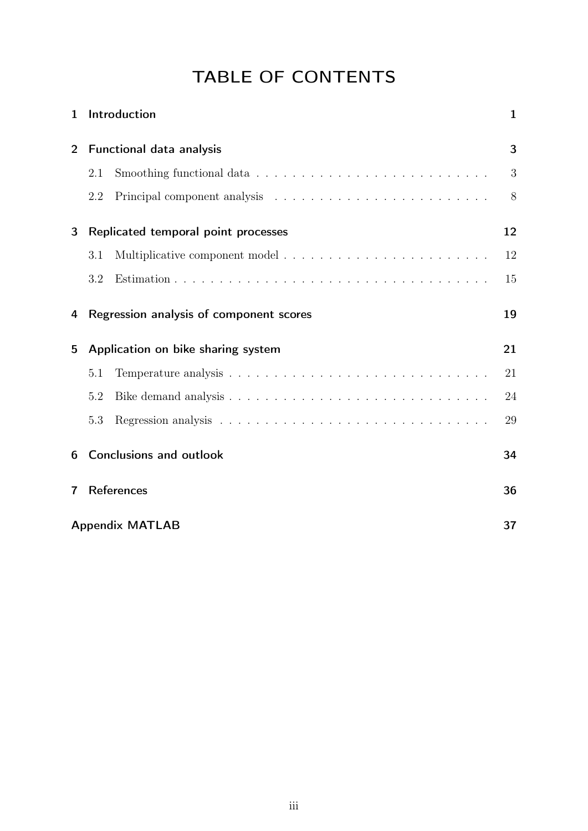## TABLE OF CONTENTS

| 1              |                          | Introduction                            | $\mathbf{1}$ |
|----------------|--------------------------|-----------------------------------------|--------------|
| $\overline{2}$ | Functional data analysis |                                         | 3            |
|                | 2.1                      |                                         | 3            |
|                | 2.2                      |                                         | 8            |
| 3              |                          | Replicated temporal point processes     | 12           |
|                | 3.1                      |                                         | 12           |
|                | 3.2                      |                                         | 15           |
| 4              |                          | Regression analysis of component scores | 19           |
| 5              |                          | Application on bike sharing system      | 21           |
|                | 5.1                      |                                         | 21           |
|                | 5.2                      |                                         | 24           |
|                | 5.3                      |                                         | 29           |
| 6              |                          | <b>Conclusions and outlook</b>          | 34           |
| 7              |                          | <b>References</b>                       | 36           |
|                | <b>Appendix MATLAB</b>   |                                         |              |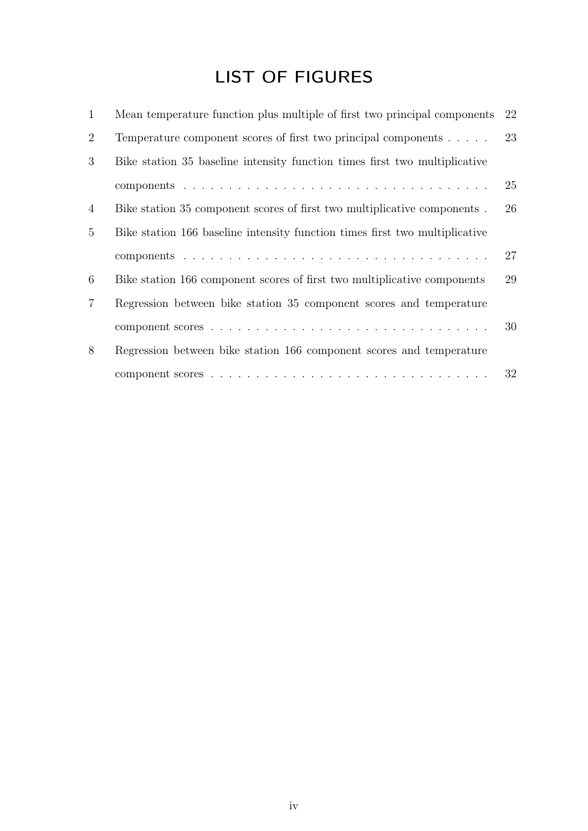## LIST OF FIGURES

| 1               | Mean temperature function plus multiple of first two principal components   | 22 |
|-----------------|-----------------------------------------------------------------------------|----|
| $\overline{2}$  | Temperature component scores of first two principal components $\dots$ .    | 23 |
| 3               | Bike station 35 baseline intensity function times first two multiplicative  |    |
|                 |                                                                             | 25 |
| 4               | Bike station 35 component scores of first two multiplicative components.    | 26 |
| $5\overline{)}$ | Bike station 166 baseline intensity function times first two multiplicative |    |
|                 |                                                                             | 27 |
| 6               | Bike station 166 component scores of first two multiplicative components    | 29 |
| $\overline{7}$  | Regression between bike station 35 component scores and temperature         |    |
|                 |                                                                             | 30 |
| 8               | Regression between bike station 166 component scores and temperature        |    |
|                 |                                                                             | 32 |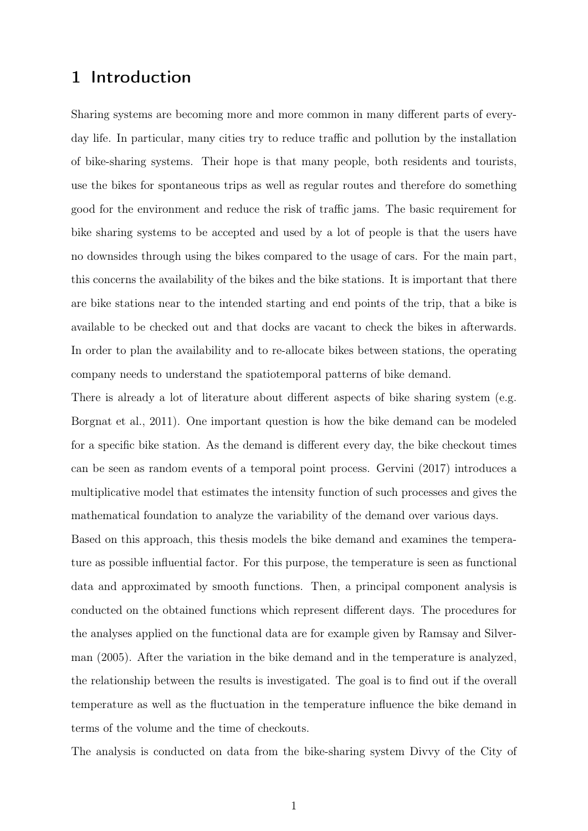## 1 Introduction

Sharing systems are becoming more and more common in many different parts of everyday life. In particular, many cities try to reduce traffic and pollution by the installation of bike-sharing systems. Their hope is that many people, both residents and tourists, use the bikes for spontaneous trips as well as regular routes and therefore do something good for the environment and reduce the risk of traffic jams. The basic requirement for bike sharing systems to be accepted and used by a lot of people is that the users have no downsides through using the bikes compared to the usage of cars. For the main part, this concerns the availability of the bikes and the bike stations. It is important that there are bike stations near to the intended starting and end points of the trip, that a bike is available to be checked out and that docks are vacant to check the bikes in afterwards. In order to plan the availability and to re-allocate bikes between stations, the operating company needs to understand the spatiotemporal patterns of bike demand.

There is already a lot of literature about different aspects of bike sharing system (e.g. Borgnat et al., 2011). One important question is how the bike demand can be modeled for a specific bike station. As the demand is different every day, the bike checkout times can be seen as random events of a temporal point process. Gervini (2017) introduces a multiplicative model that estimates the intensity function of such processes and gives the mathematical foundation to analyze the variability of the demand over various days.

Based on this approach, this thesis models the bike demand and examines the temperature as possible influential factor. For this purpose, the temperature is seen as functional data and approximated by smooth functions. Then, a principal component analysis is conducted on the obtained functions which represent different days. The procedures for the analyses applied on the functional data are for example given by Ramsay and Silverman (2005). After the variation in the bike demand and in the temperature is analyzed, the relationship between the results is investigated. The goal is to find out if the overall temperature as well as the fluctuation in the temperature influence the bike demand in terms of the volume and the time of checkouts.

The analysis is conducted on data from the bike-sharing system Divvy of the City of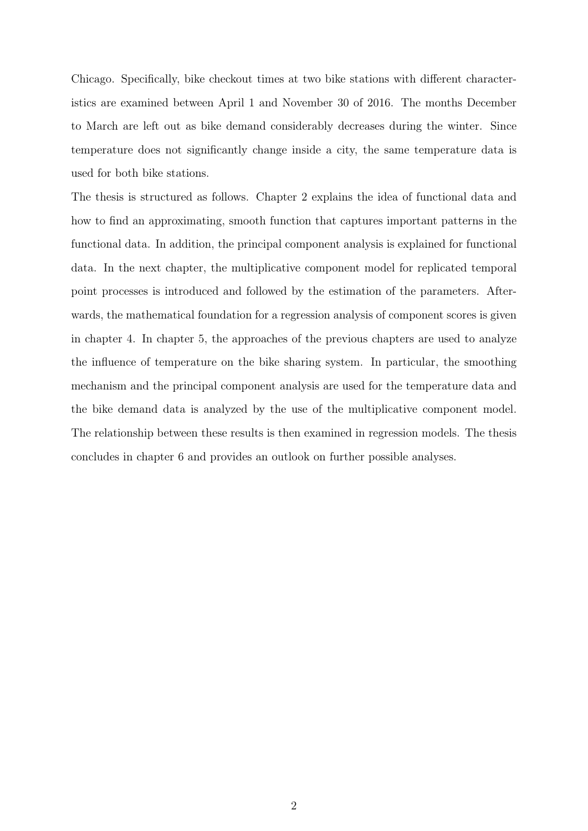Chicago. Specifically, bike checkout times at two bike stations with different characteristics are examined between April 1 and November 30 of 2016. The months December to March are left out as bike demand considerably decreases during the winter. Since temperature does not significantly change inside a city, the same temperature data is used for both bike stations.

The thesis is structured as follows. Chapter 2 explains the idea of functional data and how to find an approximating, smooth function that captures important patterns in the functional data. In addition, the principal component analysis is explained for functional data. In the next chapter, the multiplicative component model for replicated temporal point processes is introduced and followed by the estimation of the parameters. Afterwards, the mathematical foundation for a regression analysis of component scores is given in chapter 4. In chapter 5, the approaches of the previous chapters are used to analyze the influence of temperature on the bike sharing system. In particular, the smoothing mechanism and the principal component analysis are used for the temperature data and the bike demand data is analyzed by the use of the multiplicative component model. The relationship between these results is then examined in regression models. The thesis concludes in chapter 6 and provides an outlook on further possible analyses.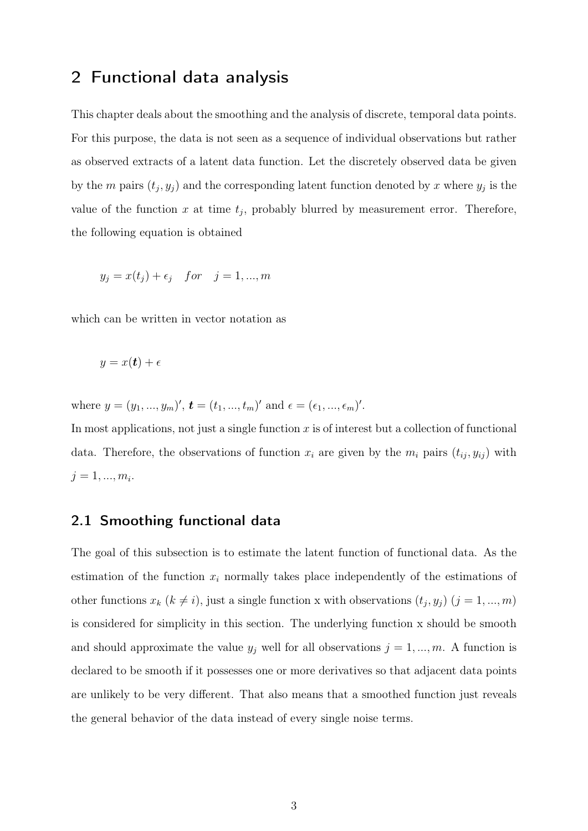## 2 Functional data analysis

This chapter deals about the smoothing and the analysis of discrete, temporal data points. For this purpose, the data is not seen as a sequence of individual observations but rather as observed extracts of a latent data function. Let the discretely observed data be given by the m pairs  $(t_j, y_j)$  and the corresponding latent function denoted by x where  $y_j$  is the value of the function x at time  $t_j$ , probably blurred by measurement error. Therefore, the following equation is obtained

$$
y_j = x(t_j) + \epsilon_j \quad for \quad j = 1, ..., m
$$

which can be written in vector notation as

$$
y = x(t) + \epsilon
$$

where  $y = (y_1, ..., y_m)'$ ,  $\mathbf{t} = (t_1, ..., t_m)'$  and  $\epsilon = (\epsilon_1, ..., \epsilon_m)'$ .

In most applications, not just a single function  $x$  is of interest but a collection of functional data. Therefore, the observations of function  $x_i$  are given by the  $m_i$  pairs  $(t_{ij}, y_{ij})$  with  $j = 1, ..., m_i.$ 

#### 2.1 Smoothing functional data

The goal of this subsection is to estimate the latent function of functional data. As the estimation of the function  $x_i$  normally takes place independently of the estimations of other functions  $x_k$   $(k \neq i)$ , just a single function x with observations  $(t_j, y_j)$   $(j = 1, ..., m)$ is considered for simplicity in this section. The underlying function x should be smooth and should approximate the value  $y_j$  well for all observations  $j = 1, ..., m$ . A function is declared to be smooth if it possesses one or more derivatives so that adjacent data points are unlikely to be very different. That also means that a smoothed function just reveals the general behavior of the data instead of every single noise terms.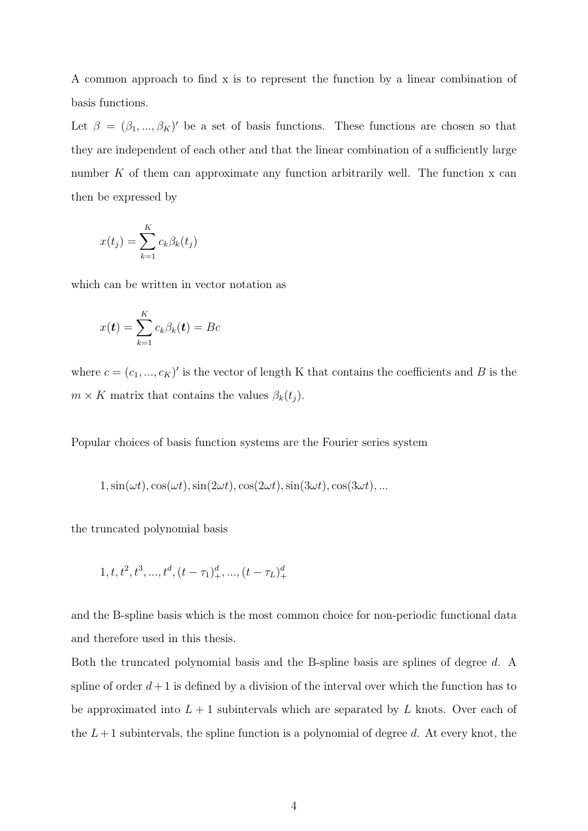A common approach to find x is to represent the function by a linear combination of basis functions.

Let  $\beta = (\beta_1, ..., \beta_K)'$  be a set of basis functions. These functions are chosen so that they are independent of each other and that the linear combination of a sufficiently large number K of them can approximate any function arbitrarily well. The function x can then be expressed by

$$
x(t_j) = \sum_{k=1}^{K} c_k \beta_k(t_j)
$$

which can be written in vector notation as

$$
x(\boldsymbol{t}) = \sum_{k=1}^{K} c_k \beta_k(\boldsymbol{t}) = Bc
$$

where  $c = (c_1, ..., c_K)'$  is the vector of length K that contains the coefficients and B is the  $m \times K$  matrix that contains the values  $\beta_k(t_j)$ .

Popular choices of basis function systems are the Fourier series system

$$
1, \sin(\omega t), \cos(\omega t), \sin(2\omega t), \cos(2\omega t), \sin(3\omega t), \cos(3\omega t), \dots
$$

the truncated polynomial basis

$$
1, t, t2, t3, ..., td, (t - \tau1)d+, ..., (t - \tauL)d+
$$

and the B-spline basis which is the most common choice for non-periodic functional data and therefore used in this thesis.

Both the truncated polynomial basis and the B-spline basis are splines of degree d. A spline of order  $d+1$  is defined by a division of the interval over which the function has to be approximated into  $L + 1$  subintervals which are separated by L knots. Over each of the  $L+1$  subintervals, the spline function is a polynomial of degree d. At every knot, the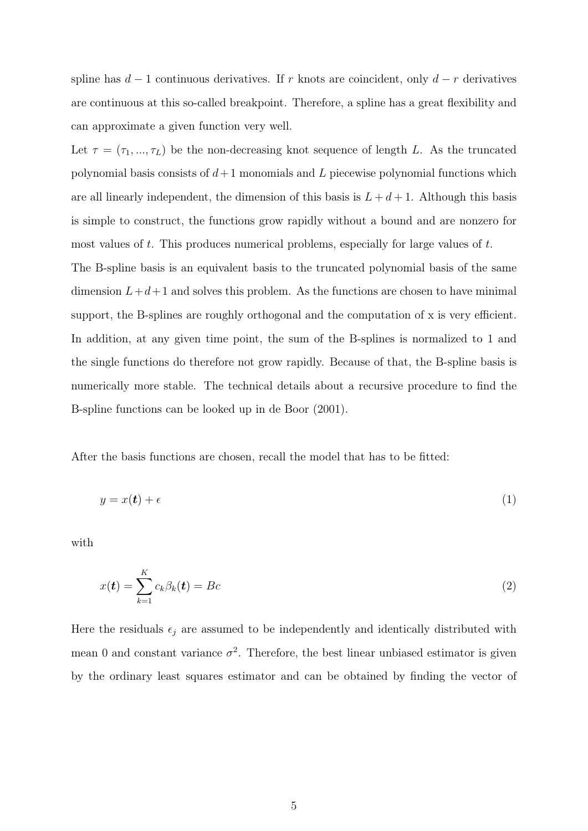spline has  $d-1$  continuous derivatives. If r knots are coincident, only  $d-r$  derivatives are continuous at this so-called breakpoint. Therefore, a spline has a great flexibility and can approximate a given function very well.

Let  $\tau = (\tau_1, ..., \tau_L)$  be the non-decreasing knot sequence of length L. As the truncated polynomial basis consists of  $d+1$  monomials and L piecewise polynomial functions which are all linearly independent, the dimension of this basis is  $L + d + 1$ . Although this basis is simple to construct, the functions grow rapidly without a bound and are nonzero for most values of t. This produces numerical problems, especially for large values of t. The B-spline basis is an equivalent basis to the truncated polynomial basis of the same dimension  $L+d+1$  and solves this problem. As the functions are chosen to have minimal support, the B-splines are roughly orthogonal and the computation of x is very efficient. In addition, at any given time point, the sum of the B-splines is normalized to 1 and the single functions do therefore not grow rapidly. Because of that, the B-spline basis is

numerically more stable. The technical details about a recursive procedure to find the B-spline functions can be looked up in de Boor (2001).

After the basis functions are chosen, recall the model that has to be fitted:

$$
y = x(t) + \epsilon \tag{1}
$$

with

$$
x(\boldsymbol{t}) = \sum_{k=1}^{K} c_k \beta_k(\boldsymbol{t}) = Bc \tag{2}
$$

Here the residuals  $\epsilon_j$  are assumed to be independently and identically distributed with mean 0 and constant variance  $\sigma^2$ . Therefore, the best linear unbiased estimator is given by the ordinary least squares estimator and can be obtained by finding the vector of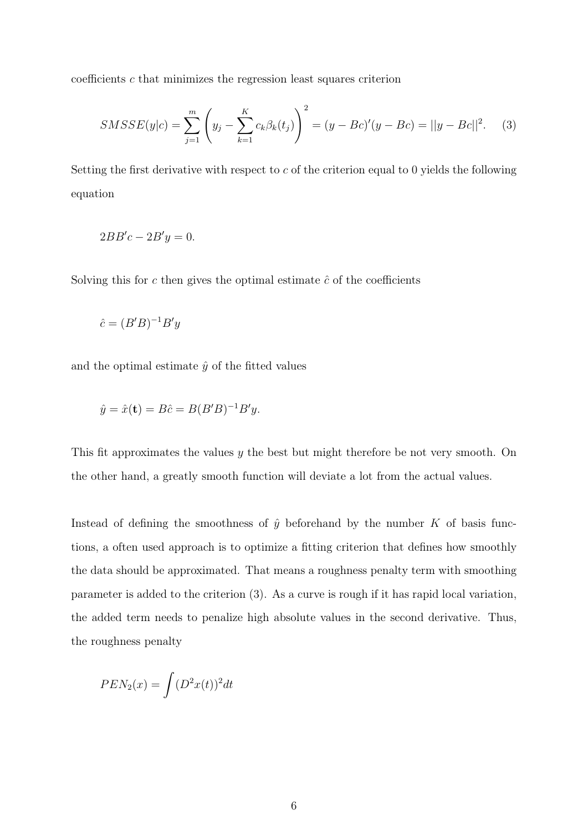coefficients  $c$  that minimizes the regression least squares criterion

$$
SMSSE(y|c) = \sum_{j=1}^{m} \left( y_j - \sum_{k=1}^{K} c_k \beta_k(t_j) \right)^2 = (y - Bc)'(y - Bc) = ||y - Bc||^2. \tag{3}
$$

Setting the first derivative with respect to  $c$  of the criterion equal to 0 yields the following equation

$$
2BB'c - 2B'y = 0.
$$

Solving this for  $c$  then gives the optimal estimate  $\hat{c}$  of the coefficients

$$
\hat{c} = (B'B)^{-1}B'y
$$

and the optimal estimate  $\hat{y}$  of the fitted values

$$
\hat{y} = \hat{x}(\mathbf{t}) = B\hat{c} = B(B'B)^{-1}B'y.
$$

This fit approximates the values y the best but might therefore be not very smooth. On the other hand, a greatly smooth function will deviate a lot from the actual values.

Instead of defining the smoothness of  $\hat{y}$  beforehand by the number K of basis functions, a often used approach is to optimize a fitting criterion that defines how smoothly the data should be approximated. That means a roughness penalty term with smoothing parameter is added to the criterion (3). As a curve is rough if it has rapid local variation, the added term needs to penalize high absolute values in the second derivative. Thus, the roughness penalty

$$
PEN_2(x) = \int (D^2x(t))^2 dt
$$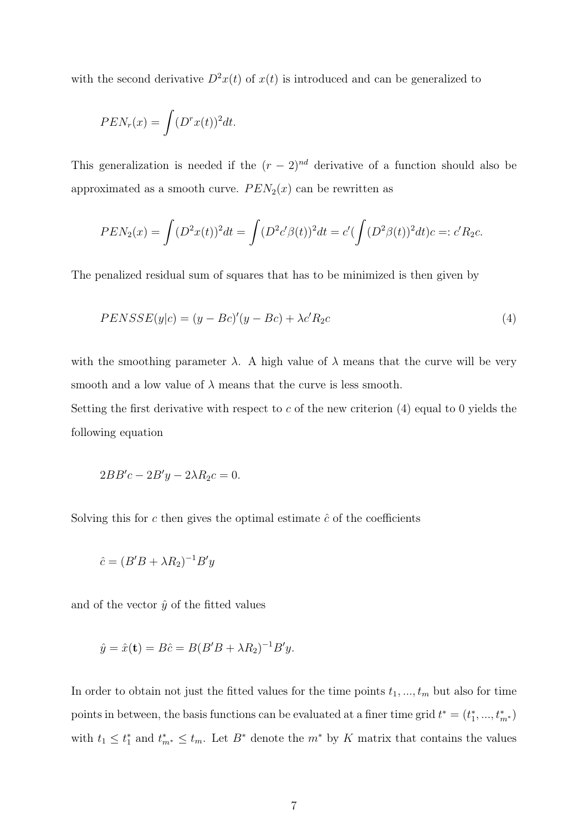with the second derivative  $D^2x(t)$  of  $x(t)$  is introduced and can be generalized to

$$
PEN_r(x) = \int (D^r x(t))^2 dt.
$$

This generalization is needed if the  $(r-2)^{nd}$  derivative of a function should also be approximated as a smooth curve.  $PEN_2(x)$  can be rewritten as

$$
PEN_2(x) = \int (D^2x(t))^2 dt = \int (D^2c'\beta(t))^2 dt = c'(\int (D^2\beta(t))^2 dt) c =: c'R_2c.
$$

The penalized residual sum of squares that has to be minimized is then given by

$$
PENSSE(y|c) = (y - Bc)'(y - Bc) + \lambda c' R_2c
$$
\n
$$
(4)
$$

with the smoothing parameter  $\lambda$ . A high value of  $\lambda$  means that the curve will be very smooth and a low value of  $\lambda$  means that the curve is less smooth.

Setting the first derivative with respect to c of the new criterion  $(4)$  equal to 0 yields the following equation

$$
2BB'c - 2B'y - 2\lambda R_2c = 0.
$$

Solving this for c then gives the optimal estimate  $\hat{c}$  of the coefficients

$$
\hat{c} = (B'B + \lambda R_2)^{-1}B'y
$$

and of the vector  $\hat{y}$  of the fitted values

$$
\hat{y} = \hat{x}(\mathbf{t}) = B\hat{c} = B(B'B + \lambda R_2)^{-1}B'y.
$$

In order to obtain not just the fitted values for the time points  $t_1, ..., t_m$  but also for time points in between, the basis functions can be evaluated at a finer time grid  $t^* = (t_1^*, ..., t_{m^*}^*)$ with  $t_1 \leq t_1^*$  and  $t_{m^*}^* \leq t_m$ . Let  $B^*$  denote the  $m^*$  by K matrix that contains the values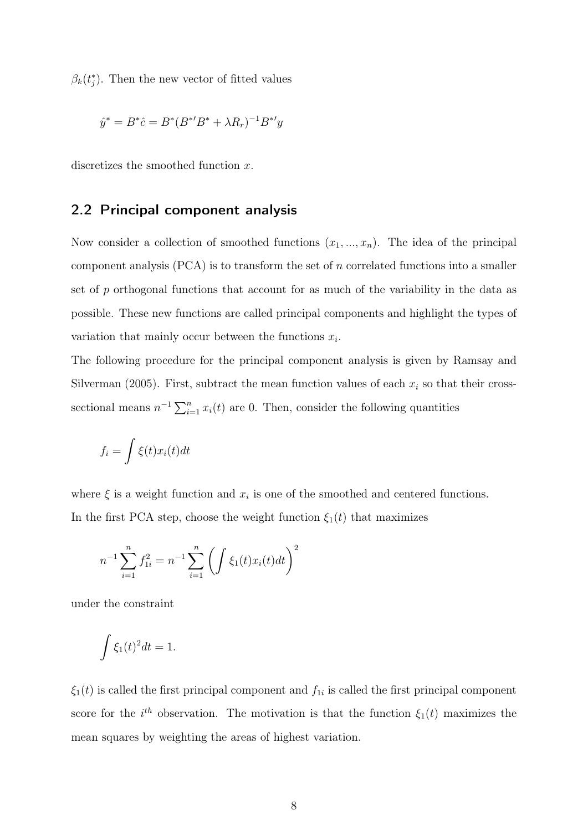$\beta_k(t_j^*)$ . Then the new vector of fitted values

$$
\hat{y}^* = B^* \hat{c} = B^* (B^{*'} B^* + \lambda R_r)^{-1} B^{*'} y
$$

discretizes the smoothed function x.

#### 2.2 Principal component analysis

Now consider a collection of smoothed functions  $(x_1, ..., x_n)$ . The idea of the principal component analysis  $(PCA)$  is to transform the set of n correlated functions into a smaller set of p orthogonal functions that account for as much of the variability in the data as possible. These new functions are called principal components and highlight the types of variation that mainly occur between the functions  $x_i$ .

The following procedure for the principal component analysis is given by Ramsay and Silverman (2005). First, subtract the mean function values of each  $x_i$  so that their crosssectional means  $n^{-1} \sum_{i=1}^{n} x_i(t)$  are 0. Then, consider the following quantities

$$
f_i = \int \xi(t) x_i(t) dt
$$

where  $\xi$  is a weight function and  $x_i$  is one of the smoothed and centered functions. In the first PCA step, choose the weight function  $\xi_1(t)$  that maximizes

$$
n^{-1} \sum_{i=1}^{n} f_{1i}^{2} = n^{-1} \sum_{i=1}^{n} \left( \int \xi_{1}(t)x_{i}(t)dt \right)^{2}
$$

under the constraint

$$
\int \xi_1(t)^2 dt = 1.
$$

 $\xi_1(t)$  is called the first principal component and  $f_{1i}$  is called the first principal component score for the  $i^{th}$  observation. The motivation is that the function  $\xi_1(t)$  maximizes the mean squares by weighting the areas of highest variation.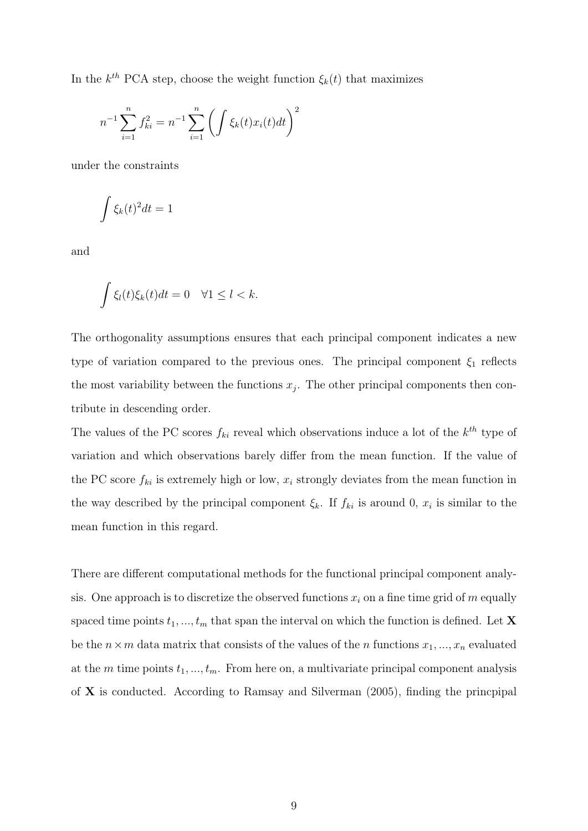In the  $k^{th}$  PCA step, choose the weight function  $\xi_k(t)$  that maximizes

$$
n^{-1} \sum_{i=1}^{n} f_{ki}^{2} = n^{-1} \sum_{i=1}^{n} \left( \int \xi_{k}(t) x_{i}(t) dt \right)^{2}
$$

under the constraints

$$
\int \xi_k(t)^2 dt = 1
$$

and

$$
\int \xi_l(t)\xi_k(t)dt = 0 \quad \forall 1 \leq l < k.
$$

The orthogonality assumptions ensures that each principal component indicates a new type of variation compared to the previous ones. The principal component  $\xi_1$  reflects the most variability between the functions  $x_j$ . The other principal components then contribute in descending order.

The values of the PC scores  $f_{ki}$  reveal which observations induce a lot of the  $k^{th}$  type of variation and which observations barely differ from the mean function. If the value of the PC score  $f_{ki}$  is extremely high or low,  $x_i$  strongly deviates from the mean function in the way described by the principal component  $\xi_k$ . If  $f_{ki}$  is around 0,  $x_i$  is similar to the mean function in this regard.

There are different computational methods for the functional principal component analysis. One approach is to discretize the observed functions  $x_i$  on a fine time grid of m equally spaced time points  $t_1, ..., t_m$  that span the interval on which the function is defined. Let **X** be the  $n \times m$  data matrix that consists of the values of the n functions  $x_1, ..., x_n$  evaluated at the m time points  $t_1, \ldots, t_m$ . From here on, a multivariate principal component analysis of  $X$  is conducted. According to Ramsay and Silverman  $(2005)$ , finding the princpipal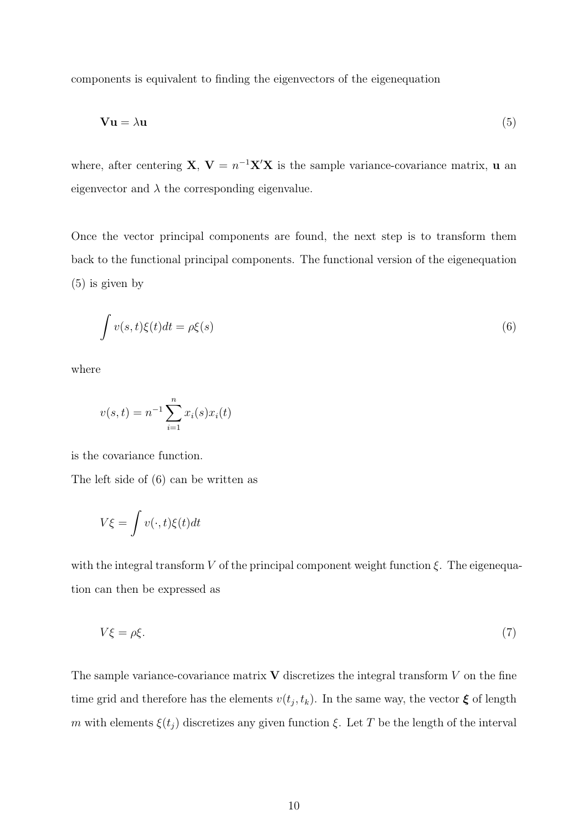components is equivalent to finding the eigenvectors of the eigenequation

$$
\mathbf{Vu} = \lambda \mathbf{u} \tag{5}
$$

where, after centering **X**,  $V = n^{-1}X'X$  is the sample variance-covariance matrix, **u** an eigenvector and  $\lambda$  the corresponding eigenvalue.

Once the vector principal components are found, the next step is to transform them back to the functional principal components. The functional version of the eigenequation (5) is given by

$$
\int v(s,t)\xi(t)dt = \rho\xi(s)
$$
\n(6)

where

$$
v(s,t) = n^{-1} \sum_{i=1}^{n} x_i(s) x_i(t)
$$

is the covariance function.

The left side of (6) can be written as

$$
V\xi = \int v(\cdot, t)\xi(t)dt
$$

with the integral transform V of the principal component weight function  $\xi$ . The eigenequation can then be expressed as

$$
V\xi = \rho \xi. \tag{7}
$$

The sample variance-covariance matrix  $\bf{V}$  discretizes the integral transform  $V$  on the fine time grid and therefore has the elements  $v(t_j, t_k)$ . In the same way, the vector  $\xi$  of length m with elements  $\xi(t_j)$  discretizes any given function  $\xi$ . Let T be the length of the interval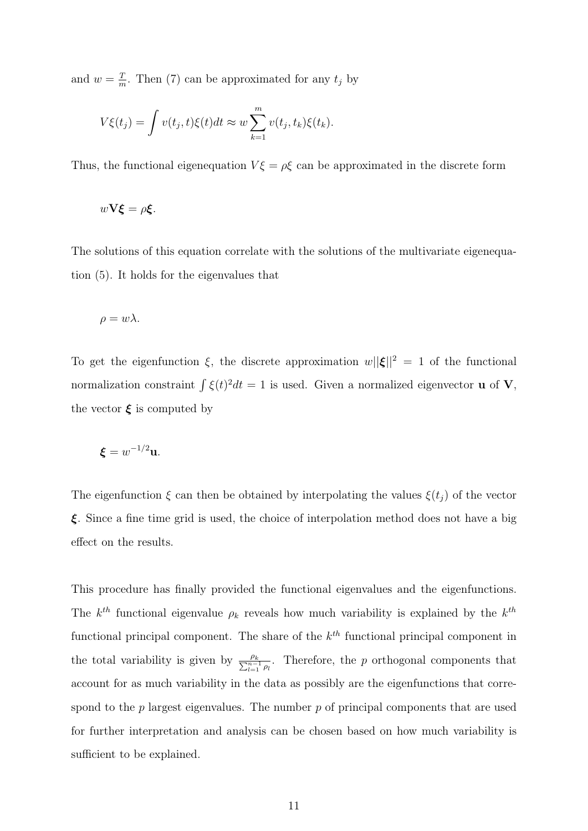and  $w = \frac{T}{m}$  $\frac{T}{m}$ . Then (7) can be approximated for any  $t_j$  by

$$
V\xi(t_j) = \int v(t_j, t)\xi(t)dt \approx w \sum_{k=1}^m v(t_j, t_k)\xi(t_k).
$$

Thus, the functional eigenequation  $V\xi = \rho \xi$  can be approximated in the discrete form

$$
w\mathbf{V}\boldsymbol{\xi}=\rho\boldsymbol{\xi}.
$$

The solutions of this equation correlate with the solutions of the multivariate eigenequation (5). It holds for the eigenvalues that

$$
\rho = w\lambda.
$$

To get the eigenfunction  $\xi$ , the discrete approximation  $w||\xi||^2 = 1$  of the functional normalization constraint  $\int \xi(t)^2 dt = 1$  is used. Given a normalized eigenvector **u** of **V**, the vector  $\xi$  is computed by

$$
\boldsymbol{\xi} = w^{-1/2} \mathbf{u}.
$$

The eigenfunction  $\xi$  can then be obtained by interpolating the values  $\xi(t_j)$  of the vector  $\xi$ . Since a fine time grid is used, the choice of interpolation method does not have a big effect on the results.

This procedure has finally provided the functional eigenvalues and the eigenfunctions. The  $k^{th}$  functional eigenvalue  $\rho_k$  reveals how much variability is explained by the  $k^{th}$ functional principal component. The share of the  $k^{th}$  functional principal component in the total variability is given by  $\frac{\rho_k}{\sum_{l=1}^{n-1} \rho_l}$ . Therefore, the p orthogonal components that account for as much variability in the data as possibly are the eigenfunctions that correspond to the  $p$  largest eigenvalues. The number  $p$  of principal components that are used for further interpretation and analysis can be chosen based on how much variability is sufficient to be explained.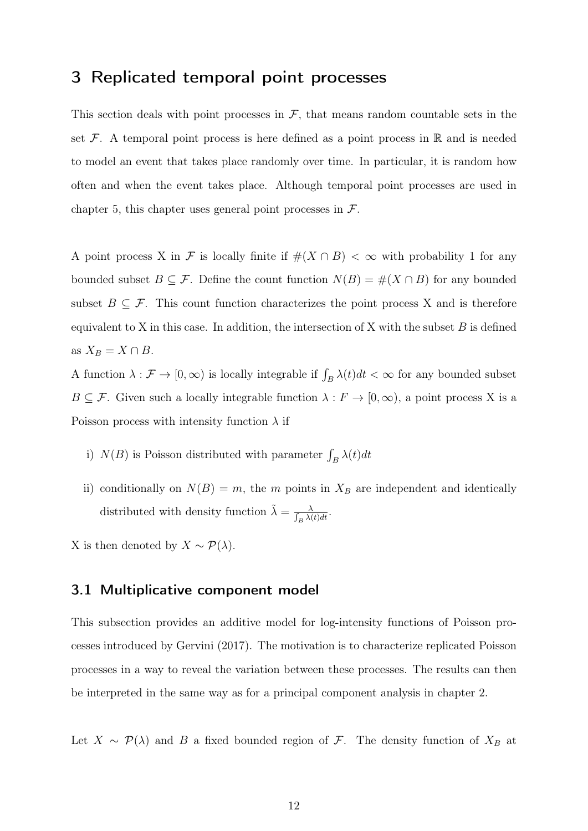## 3 Replicated temporal point processes

This section deals with point processes in  $\mathcal{F}$ , that means random countable sets in the set  $\mathcal F$ . A temporal point process is here defined as a point process in  $\mathbb R$  and is needed to model an event that takes place randomly over time. In particular, it is random how often and when the event takes place. Although temporal point processes are used in chapter 5, this chapter uses general point processes in  $\mathcal{F}$ .

A point process X in F is locally finite if  $\#(X \cap B) < \infty$  with probability 1 for any bounded subset  $B \subseteq \mathcal{F}$ . Define the count function  $N(B) = \#(X \cap B)$  for any bounded subset  $B \subseteq \mathcal{F}$ . This count function characterizes the point process X and is therefore equivalent to X in this case. In addition, the intersection of X with the subset  $B$  is defined as  $X_B = X \cap B$ .

A function  $\lambda : \mathcal{F} \to [0, \infty)$  is locally integrable if  $\int_B \lambda(t) dt < \infty$  for any bounded subset  $B \subseteq \mathcal{F}$ . Given such a locally integrable function  $\lambda : F \to [0, \infty)$ , a point process X is a Poisson process with intensity function  $\lambda$  if

- i)  $N(B)$  is Poisson distributed with parameter  $\int_B \lambda(t)dt$
- ii) conditionally on  $N(B) = m$ , the m points in  $X_B$  are independent and identically distributed with density function  $\tilde{\lambda} = \frac{\lambda}{\int_{\mathcal{P}} \lambda(\lambda)}$  $\frac{\lambda}{\beta} \frac{\lambda(t) dt}{\lambda(t)}$ .

X is then denoted by  $X \sim \mathcal{P}(\lambda)$ .

#### 3.1 Multiplicative component model

This subsection provides an additive model for log-intensity functions of Poisson processes introduced by Gervini (2017). The motivation is to characterize replicated Poisson processes in a way to reveal the variation between these processes. The results can then be interpreted in the same way as for a principal component analysis in chapter 2.

Let  $X \sim \mathcal{P}(\lambda)$  and B a fixed bounded region of F. The density function of  $X_B$  at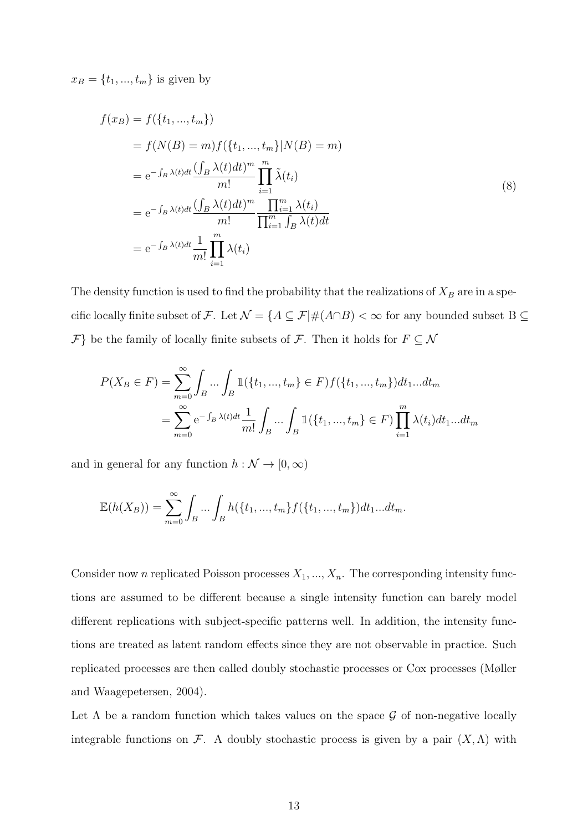$x_B = \{t_1, ..., t_m\}$  is given by

$$
f(x_B) = f(\lbrace t_1, ..., t_m \rbrace)
$$
  
\n
$$
= f(N(B) = m) f(\lbrace t_1, ..., t_m \rbrace | N(B) = m)
$$
  
\n
$$
= e^{-\int_B \lambda(t)dt} \frac{(\int_B \lambda(t)dt)^m}{m!} \prod_{i=1}^m \tilde{\lambda}(t_i)
$$
  
\n
$$
= e^{-\int_B \lambda(t)dt} \frac{(\int_B \lambda(t)dt)^m}{m!} \frac{\prod_{i=1}^m \lambda(t_i)}{\prod_{i=1}^m \int_B \lambda(t)dt}
$$
  
\n
$$
= e^{-\int_B \lambda(t)dt} \frac{1}{m!} \prod_{i=1}^m \lambda(t_i)
$$
\n(8)

The density function is used to find the probability that the realizations of  $X_B$  are in a specific locally finite subset of F. Let  $\mathcal{N}=\{A\subseteq\mathcal{F}|\#(A\cap B)<\infty$  for any bounded subset B  $\subseteq$  $\mathcal{F}$ } be the family of locally finite subsets of  $\mathcal{F}$ . Then it holds for  $F \subseteq \mathcal{N}$ 

$$
P(X_B \in F) = \sum_{m=0}^{\infty} \int_B \dots \int_B \mathbb{1}(\{t_1, ..., t_m\} \in F) f(\{t_1, ..., t_m\}) dt_1 ... dt_m
$$
  
= 
$$
\sum_{m=0}^{\infty} e^{-\int_B \lambda(t) dt} \frac{1}{m!} \int_B \dots \int_B \mathbb{1}(\{t_1, ..., t_m\} \in F) \prod_{i=1}^m \lambda(t_i) dt_1 ... dt_m
$$

and in general for any function  $h : \mathcal{N} \rightarrow [0, \infty)$ 

$$
\mathbb{E}(h(X_B)) = \sum_{m=0}^{\infty} \int_B \dots \int_B h(\{t_1, ..., t_m\} f(\{t_1, ..., t_m\}) dt_1 ... dt_m).
$$

Consider now n replicated Poisson processes  $X_1, ..., X_n$ . The corresponding intensity functions are assumed to be different because a single intensity function can barely model different replications with subject-specific patterns well. In addition, the intensity functions are treated as latent random effects since they are not observable in practice. Such replicated processes are then called doubly stochastic processes or Cox processes (Møller and Waagepetersen, 2004).

Let  $\Lambda$  be a random function which takes values on the space  $\mathcal G$  of non-negative locally integrable functions on F. A doubly stochastic process is given by a pair  $(X, \Lambda)$  with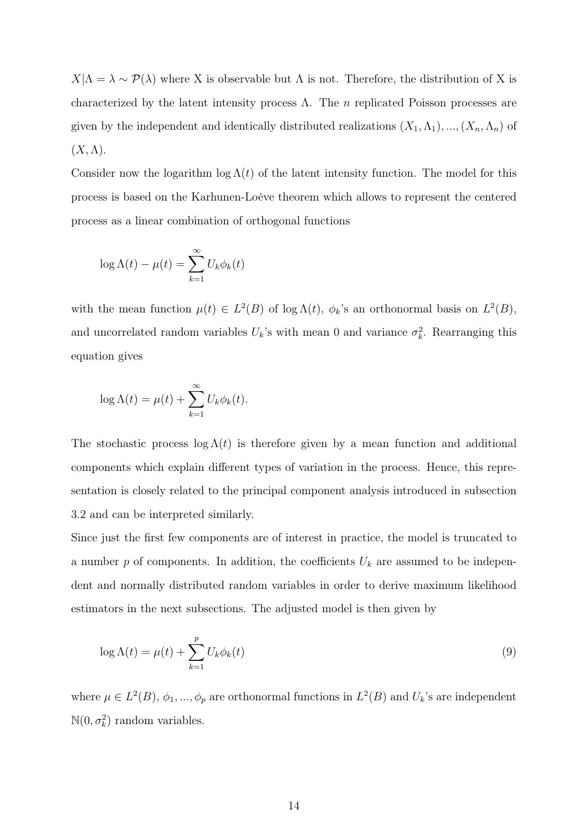$X|\Lambda = \lambda \sim \mathcal{P}(\lambda)$  where X is observable but  $\Lambda$  is not. Therefore, the distribution of X is characterized by the latent intensity process  $\Lambda$ . The n replicated Poisson processes are given by the independent and identically distributed realizations  $(X_1, \Lambda_1), ..., (X_n, \Lambda_n)$  of  $(X,\Lambda).$ 

Consider now the logarithm  $\log \Lambda(t)$  of the latent intensity function. The model for this process is based on the Karhunen-Loève theorem which allows to represent the centered process as a linear combination of orthogonal functions

$$
\log \Lambda(t) - \mu(t) = \sum_{k=1}^{\infty} U_k \phi_k(t)
$$

with the mean function  $\mu(t) \in L^2(B)$  of  $\log \Lambda(t)$ ,  $\phi_k$ 's an orthonormal basis on  $L^2(B)$ , and uncorrelated random variables  $U_k$ 's with mean 0 and variance  $\sigma_k^2$ . Rearranging this equation gives

$$
\log \Lambda(t) = \mu(t) + \sum_{k=1}^{\infty} U_k \phi_k(t).
$$

The stochastic process  $\log \Lambda(t)$  is therefore given by a mean function and additional components which explain different types of variation in the process. Hence, this representation is closely related to the principal component analysis introduced in subsection 3.2 and can be interpreted similarly.

Since just the first few components are of interest in practice, the model is truncated to a number  $p$  of components. In addition, the coefficients  $U_k$  are assumed to be independent and normally distributed random variables in order to derive maximum likelihood estimators in the next subsections. The adjusted model is then given by

$$
\log \Lambda(t) = \mu(t) + \sum_{k=1}^{p} U_k \phi_k(t)
$$
\n(9)

where  $\mu \in L^2(B)$ ,  $\phi_1, ..., \phi_p$  are orthonormal functions in  $L^2(B)$  and  $U_k$ 's are independent  $\mathbb{N}(0, \sigma_k^2)$  random variables.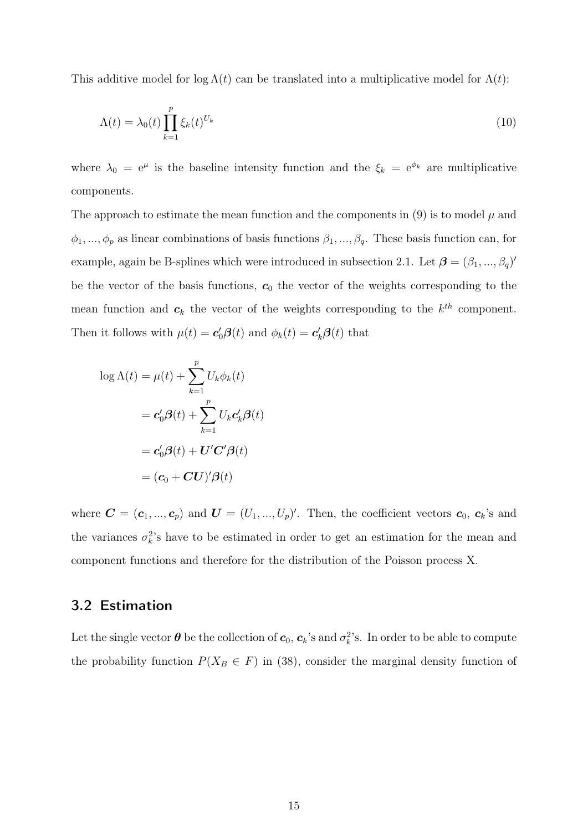This additive model for  $\log \Lambda(t)$  can be translated into a multiplicative model for  $\Lambda(t)$ :

$$
\Lambda(t) = \lambda_0(t) \prod_{k=1}^p \xi_k(t)^{U_k} \tag{10}
$$

where  $\lambda_0 = e^{\mu}$  is the baseline intensity function and the  $\xi_k = e^{\phi_k}$  are multiplicative components.

The approach to estimate the mean function and the components in (9) is to model  $\mu$  and  $\phi_1, ..., \phi_p$  as linear combinations of basis functions  $\beta_1, ..., \beta_q$ . These basis function can, for example, again be B-splines which were introduced in subsection 2.1. Let  $\boldsymbol{\beta} = (\beta_1, ..., \beta_q)^T$ be the vector of the basis functions,  $c_0$  the vector of the weights corresponding to the mean function and  $c_k$  the vector of the weights corresponding to the  $k^{th}$  component. Then it follows with  $\mu(t) = \mathbf{c}'_0 \mathbf{\beta}(t)$  and  $\phi_k(t) = \mathbf{c}'_k \mathbf{\beta}(t)$  that

$$
\log \Lambda(t) = \mu(t) + \sum_{k=1}^{p} U_k \phi_k(t)
$$

$$
= \mathbf{c}'_0 \boldsymbol{\beta}(t) + \sum_{k=1}^{p} U_k \mathbf{c}'_k \boldsymbol{\beta}(t)
$$

$$
= \mathbf{c}'_0 \boldsymbol{\beta}(t) + \mathbf{U}' \mathbf{C}' \boldsymbol{\beta}(t)
$$

$$
= (\mathbf{c}_0 + \mathbf{C} \mathbf{U})' \boldsymbol{\beta}(t)
$$

where  $\mathbf{C} = (\mathbf{c}_1, ..., \mathbf{c}_p)$  and  $\mathbf{U} = (U_1, ..., U_p)'$ . Then, the coefficient vectors  $\mathbf{c}_0, \mathbf{c}_k$ 's and the variances  $\sigma_k^2$ 's have to be estimated in order to get an estimation for the mean and component functions and therefore for the distribution of the Poisson process X.

#### 3.2 Estimation

Let the single vector  $\bm{\theta}$  be the collection of  $\bm{c}_0, \bm{c}_k$ 's and  $\sigma_k^2$ 's. In order to be able to compute the probability function  $P(X_B \in F)$  in (38), consider the marginal density function of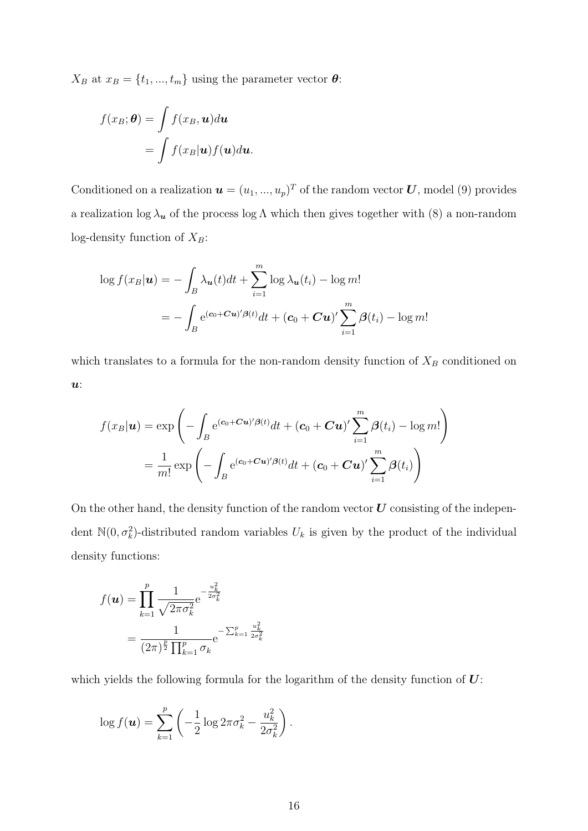$X_B$  at  $x_B = \{t_1, ..., t_m\}$  using the parameter vector  $\boldsymbol{\theta}$ :

$$
f(x_B; \theta) = \int f(x_B, \mathbf{u}) d\mathbf{u}
$$
  
= 
$$
\int f(x_B | \mathbf{u}) f(\mathbf{u}) d\mathbf{u}.
$$

Conditioned on a realization  $\mathbf{u} = (u_1, ..., u_p)^T$  of the random vector U, model (9) provides a realization  $\log \lambda_u$  of the process  $\log \Lambda$  which then gives together with (8) a non-random log-density function of  $X_B$ :

$$
\log f(x_B|\mathbf{u}) = -\int_B \lambda_{\mathbf{u}}(t)dt + \sum_{i=1}^m \log \lambda_{\mathbf{u}}(t_i) - \log m!
$$
  
= 
$$
-\int_B e^{(\mathbf{c}_0 + \mathbf{C}\mathbf{u})'\beta(t)}dt + (\mathbf{c}_0 + \mathbf{C}\mathbf{u})'\sum_{i=1}^m \beta(t_i) - \log m!
$$

which translates to a formula for the non-random density function of  $X_B$  conditioned on  $\boldsymbol{u}$ :

$$
f(x_B|\mathbf{u}) = \exp\left(-\int_B e^{(\mathbf{c}_0 + \mathbf{C}\mathbf{u})'\beta(t)}dt + (\mathbf{c}_0 + \mathbf{C}\mathbf{u})'\sum_{i=1}^m \beta(t_i) - \log m!\right)
$$
  
= 
$$
\frac{1}{m!} \exp\left(-\int_B e^{(\mathbf{c}_0 + \mathbf{C}\mathbf{u})'\beta(t)}dt + (\mathbf{c}_0 + \mathbf{C}\mathbf{u})'\sum_{i=1}^m \beta(t_i)\right)
$$

On the other hand, the density function of the random vector  $U$  consisting of the independent  $\mathbb{N}(0, \sigma_k^2)$ -distributed random variables  $U_k$  is given by the product of the individual density functions:

$$
f(\mathbf{u}) = \prod_{k=1}^{p} \frac{1}{\sqrt{2\pi\sigma_k^2}} e^{-\frac{u_k^2}{2\sigma_k^2}}
$$

$$
= \frac{1}{(2\pi)^{\frac{p}{2}} \prod_{k=1}^{p} \sigma_k} e^{-\sum_{k=1}^{p} \frac{u_k^2}{2\sigma_k^2}}
$$

which yields the following formula for the logarithm of the density function of  $U$ :

$$
\log f(\mathbf{u}) = \sum_{k=1}^{p} \left( -\frac{1}{2} \log 2\pi \sigma_k^2 - \frac{u_k^2}{2\sigma_k^2} \right).
$$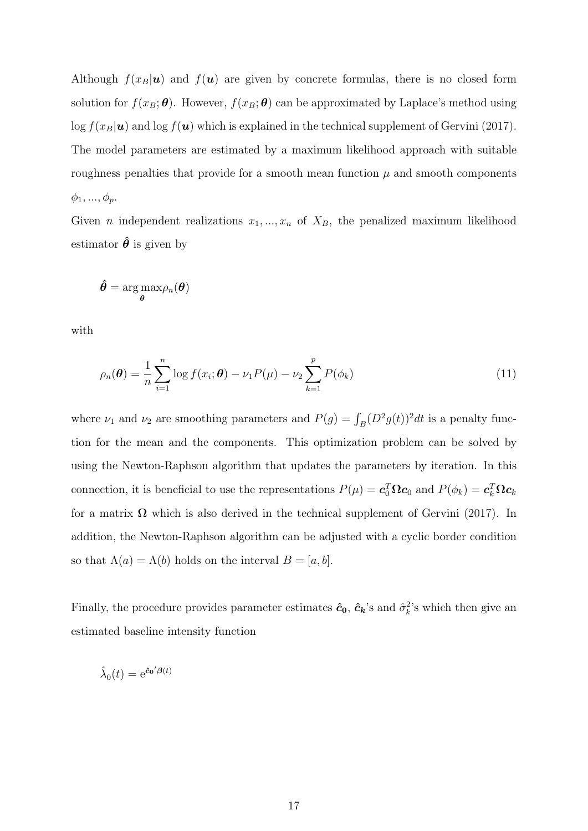Although  $f(x_B|\mathbf{u})$  and  $f(\mathbf{u})$  are given by concrete formulas, there is no closed form solution for  $f(x_B; \theta)$ . However,  $f(x_B; \theta)$  can be approximated by Laplace's method using  $\log f(x_B|\mathbf{u})$  and  $\log f(\mathbf{u})$  which is explained in the technical supplement of Gervini (2017). The model parameters are estimated by a maximum likelihood approach with suitable roughness penalties that provide for a smooth mean function  $\mu$  and smooth components  $\phi_1, ..., \phi_p$ .

Given *n* independent realizations  $x_1, ..., x_n$  of  $X_B$ , the penalized maximum likelihood estimator  $\hat{\theta}$  is given by

$$
\hat{\bm{\theta}} = \argmax_{\bm{\theta}}\!\rho_n(\bm{\theta})
$$

with

$$
\rho_n(\boldsymbol{\theta}) = \frac{1}{n} \sum_{i=1}^n \log f(x_i; \boldsymbol{\theta}) - \nu_1 P(\mu) - \nu_2 \sum_{k=1}^p P(\phi_k)
$$
\n(11)

where  $\nu_1$  and  $\nu_2$  are smoothing parameters and  $P(g) = \int_B (D^2 g(t))^2 dt$  is a penalty function for the mean and the components. This optimization problem can be solved by using the Newton-Raphson algorithm that updates the parameters by iteration. In this connection, it is beneficial to use the representations  $P(\mu) = \mathbf{c}_0^T \mathbf{\Omega} \mathbf{c}_0$  and  $P(\phi_k) = \mathbf{c}_k^T \mathbf{\Omega} \mathbf{c}_k$ for a matrix  $\Omega$  which is also derived in the technical supplement of Gervini (2017). In addition, the Newton-Raphson algorithm can be adjusted with a cyclic border condition so that  $\Lambda(a) = \Lambda(b)$  holds on the interval  $B = [a, b]$ .

Finally, the procedure provides parameter estimates  $\hat{c}_0$ ,  $\hat{c}_k$ 's and  $\hat{\sigma}_k^2$ 's which then give an estimated baseline intensity function

$$
\hat{\lambda}_0(t) = e^{\hat{\mathbf{c}}_0'\mathbf{\beta}(t)}
$$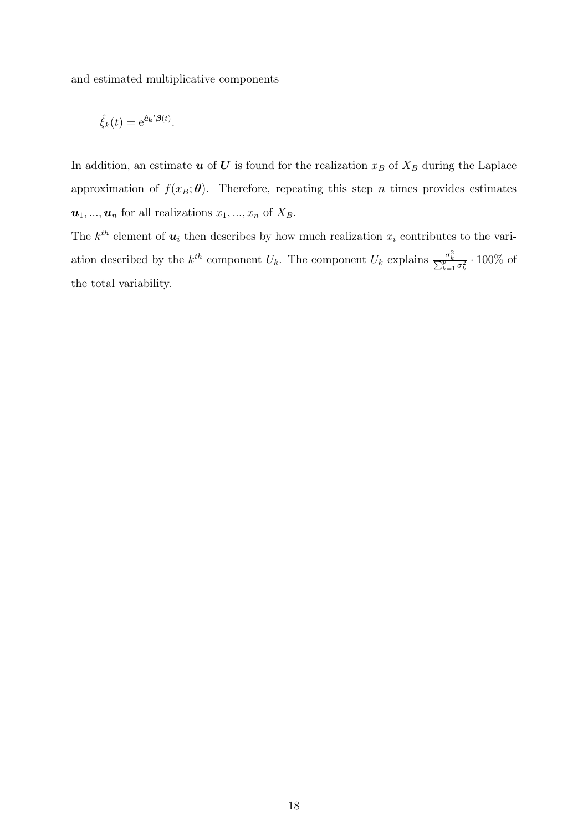and estimated multiplicative components

$$
\hat{\xi}_k(t) = e^{\hat{\mathbf{c}}_k'\mathbf{\beta}(t)}.
$$

In addition, an estimate  $u$  of  $U$  is found for the realization  $x_B$  of  $X_B$  during the Laplace approximation of  $f(x_B; \theta)$ . Therefore, repeating this step n times provides estimates  $u_1, ..., u_n$  for all realizations  $x_1, ..., x_n$  of  $X_B$ .

The  $k^{th}$  element of  $u_i$  then describes by how much realization  $x_i$  contributes to the variation described by the  $k^{th}$  component  $U_k$ . The component  $U_k$  explains  $\frac{\sigma_k^2}{\sum_{k=1}^p \sigma_k^2} \cdot 100\%$  of the total variability.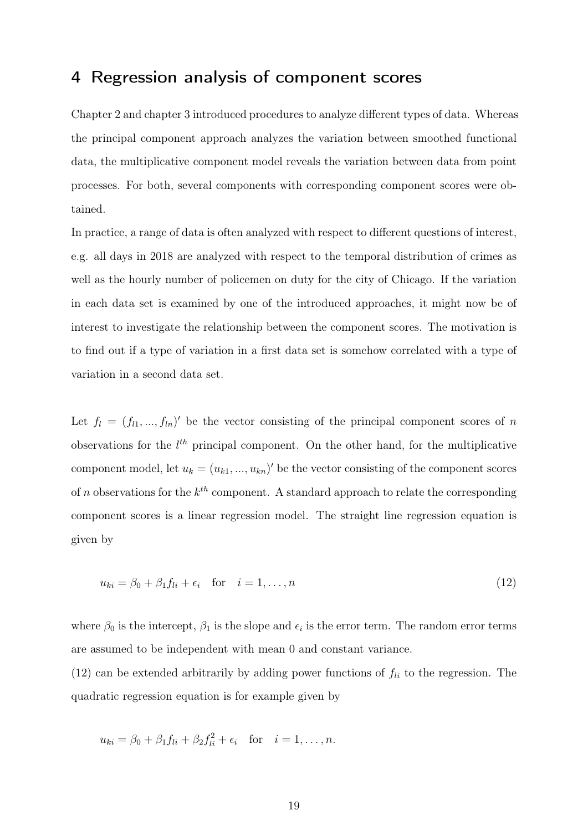## 4 Regression analysis of component scores

Chapter 2 and chapter 3 introduced procedures to analyze different types of data. Whereas the principal component approach analyzes the variation between smoothed functional data, the multiplicative component model reveals the variation between data from point processes. For both, several components with corresponding component scores were obtained.

In practice, a range of data is often analyzed with respect to different questions of interest, e.g. all days in 2018 are analyzed with respect to the temporal distribution of crimes as well as the hourly number of policemen on duty for the city of Chicago. If the variation in each data set is examined by one of the introduced approaches, it might now be of interest to investigate the relationship between the component scores. The motivation is to find out if a type of variation in a first data set is somehow correlated with a type of variation in a second data set.

Let  $f_l = (f_{l1},...,f_{ln})'$  be the vector consisting of the principal component scores of n observations for the  $l^{th}$  principal component. On the other hand, for the multiplicative component model, let  $u_k = (u_{k1},...,u_{kn})'$  be the vector consisting of the component scores of n observations for the  $k^{th}$  component. A standard approach to relate the corresponding component scores is a linear regression model. The straight line regression equation is given by

$$
u_{ki} = \beta_0 + \beta_1 f_{li} + \epsilon_i \quad \text{for} \quad i = 1, \dots, n \tag{12}
$$

where  $\beta_0$  is the intercept,  $\beta_1$  is the slope and  $\epsilon_i$  is the error term. The random error terms are assumed to be independent with mean 0 and constant variance.

(12) can be extended arbitrarily by adding power functions of  $f_{li}$  to the regression. The quadratic regression equation is for example given by

$$
u_{ki} = \beta_0 + \beta_1 f_{li} + \beta_2 f_{li}^2 + \epsilon_i
$$
 for  $i = 1, ..., n$ .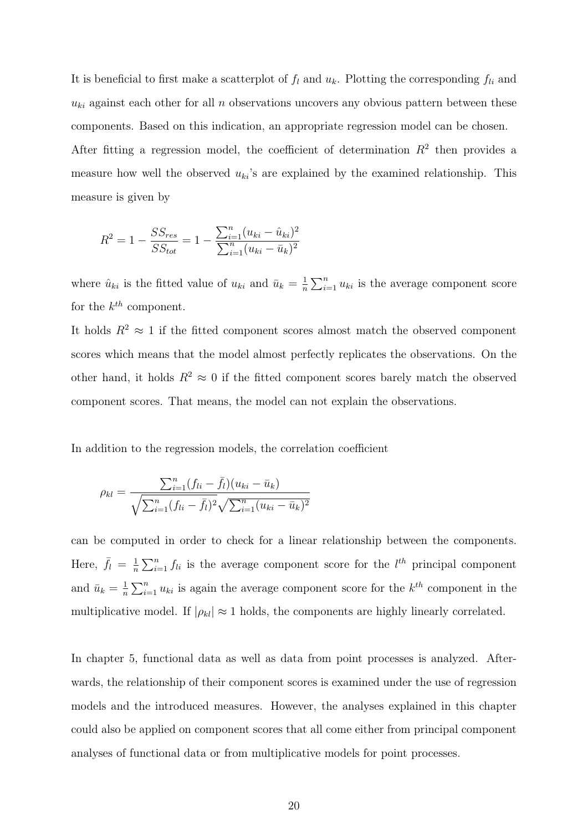It is beneficial to first make a scatterplot of  $f_l$  and  $u_k$ . Plotting the corresponding  $f_{li}$  and  $u_{ki}$  against each other for all n observations uncovers any obvious pattern between these components. Based on this indication, an appropriate regression model can be chosen. After fitting a regression model, the coefficient of determination  $R^2$  then provides a measure how well the observed  $u_{ki}$ 's are explained by the examined relationship. This measure is given by

$$
R^{2} = 1 - \frac{SS_{res}}{SS_{tot}} = 1 - \frac{\sum_{i=1}^{n} (u_{ki} - \hat{u}_{ki})^{2}}{\sum_{i=1}^{n} (u_{ki} - \bar{u}_{k})^{2}}
$$

where  $\hat{u}_{ki}$  is the fitted value of  $u_{ki}$  and  $\bar{u}_k = \frac{1}{n}$  $\frac{1}{n} \sum_{i=1}^{n} u_{ki}$  is the average component score for the  $k^{th}$  component.

It holds  $R^2 \approx 1$  if the fitted component scores almost match the observed component scores which means that the model almost perfectly replicates the observations. On the other hand, it holds  $R^2 \approx 0$  if the fitted component scores barely match the observed component scores. That means, the model can not explain the observations.

In addition to the regression models, the correlation coefficient

$$
\rho_{kl} = \frac{\sum_{i=1}^{n} (f_{li} - \bar{f}_l)(u_{ki} - \bar{u}_k)}{\sqrt{\sum_{i=1}^{n} (f_{li} - \bar{f}_l)^2} \sqrt{\sum_{i=1}^{n} (u_{ki} - \bar{u}_k)^2}}
$$

can be computed in order to check for a linear relationship between the components. Here,  $\bar{f}_l = \frac{1}{n}$  $\frac{1}{n}\sum_{i=1}^{n} f_{li}$  is the average component score for the  $l^{th}$  principal component and  $\bar{u}_k = \frac{1}{n}$  $\frac{1}{n}\sum_{i=1}^{n} u_{ki}$  is again the average component score for the  $k^{th}$  component in the multiplicative model. If  $|\rho_{kl}| \approx 1$  holds, the components are highly linearly correlated.

In chapter 5, functional data as well as data from point processes is analyzed. Afterwards, the relationship of their component scores is examined under the use of regression models and the introduced measures. However, the analyses explained in this chapter could also be applied on component scores that all come either from principal component analyses of functional data or from multiplicative models for point processes.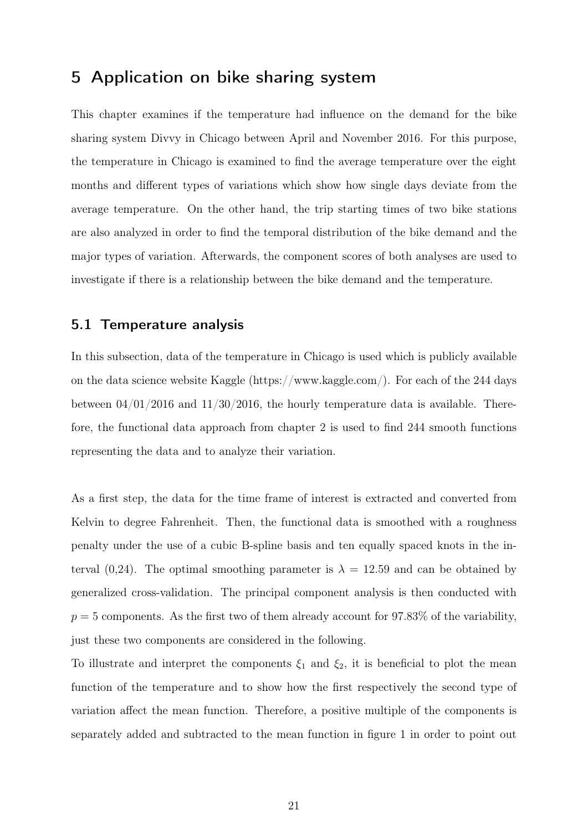## 5 Application on bike sharing system

This chapter examines if the temperature had influence on the demand for the bike sharing system Divvy in Chicago between April and November 2016. For this purpose, the temperature in Chicago is examined to find the average temperature over the eight months and different types of variations which show how single days deviate from the average temperature. On the other hand, the trip starting times of two bike stations are also analyzed in order to find the temporal distribution of the bike demand and the major types of variation. Afterwards, the component scores of both analyses are used to investigate if there is a relationship between the bike demand and the temperature.

#### 5.1 Temperature analysis

In this subsection, data of the temperature in Chicago is used which is publicly available on the data science website Kaggle (https://www.kaggle.com/). For each of the 244 days between  $04/01/2016$  and  $11/30/2016$ , the hourly temperature data is available. Therefore, the functional data approach from chapter 2 is used to find 244 smooth functions representing the data and to analyze their variation.

As a first step, the data for the time frame of interest is extracted and converted from Kelvin to degree Fahrenheit. Then, the functional data is smoothed with a roughness penalty under the use of a cubic B-spline basis and ten equally spaced knots in the interval (0,24). The optimal smoothing parameter is  $\lambda = 12.59$  and can be obtained by generalized cross-validation. The principal component analysis is then conducted with  $p = 5$  components. As the first two of them already account for 97.83% of the variability, just these two components are considered in the following.

To illustrate and interpret the components  $\xi_1$  and  $\xi_2$ , it is beneficial to plot the mean function of the temperature and to show how the first respectively the second type of variation affect the mean function. Therefore, a positive multiple of the components is separately added and subtracted to the mean function in figure 1 in order to point out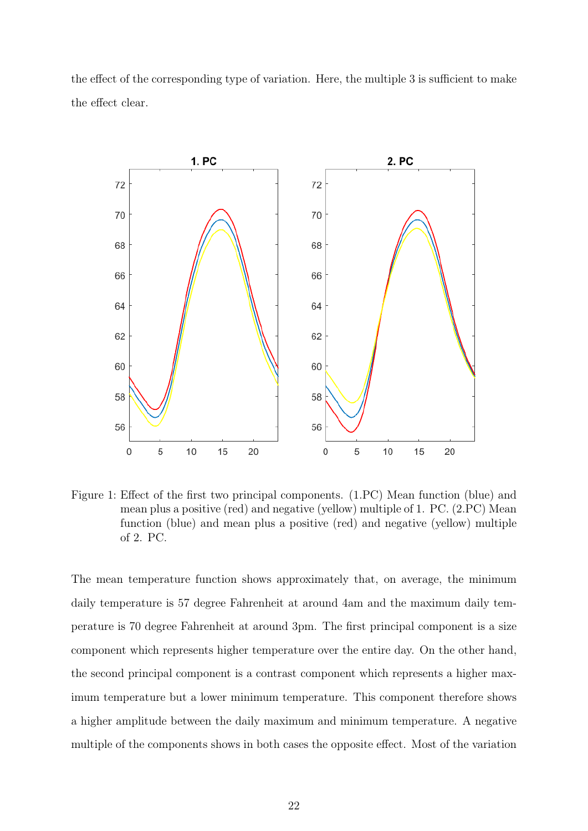the effect of the corresponding type of variation. Here, the multiple 3 is sufficient to make the effect clear.



Figure 1: Effect of the first two principal components. (1.PC) Mean function (blue) and mean plus a positive (red) and negative (yellow) multiple of 1. PC. (2.PC) Mean function (blue) and mean plus a positive (red) and negative (yellow) multiple of 2. PC.

The mean temperature function shows approximately that, on average, the minimum daily temperature is 57 degree Fahrenheit at around 4am and the maximum daily temperature is 70 degree Fahrenheit at around 3pm. The first principal component is a size component which represents higher temperature over the entire day. On the other hand, the second principal component is a contrast component which represents a higher maximum temperature but a lower minimum temperature. This component therefore shows a higher amplitude between the daily maximum and minimum temperature. A negative multiple of the components shows in both cases the opposite effect. Most of the variation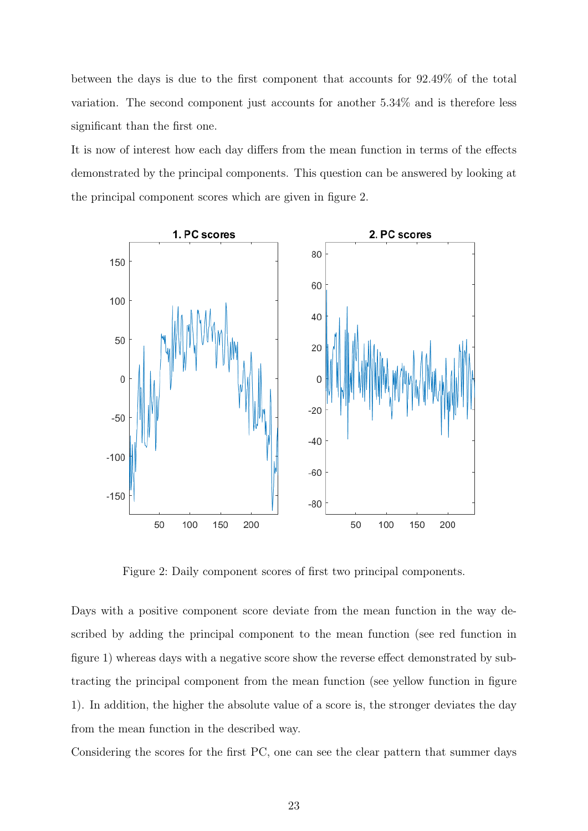between the days is due to the first component that accounts for 92.49% of the total variation. The second component just accounts for another 5.34% and is therefore less significant than the first one.

It is now of interest how each day differs from the mean function in terms of the effects demonstrated by the principal components. This question can be answered by looking at the principal component scores which are given in figure 2.



Figure 2: Daily component scores of first two principal components.

Days with a positive component score deviate from the mean function in the way described by adding the principal component to the mean function (see red function in figure 1) whereas days with a negative score show the reverse effect demonstrated by subtracting the principal component from the mean function (see yellow function in figure 1). In addition, the higher the absolute value of a score is, the stronger deviates the day from the mean function in the described way.

Considering the scores for the first PC, one can see the clear pattern that summer days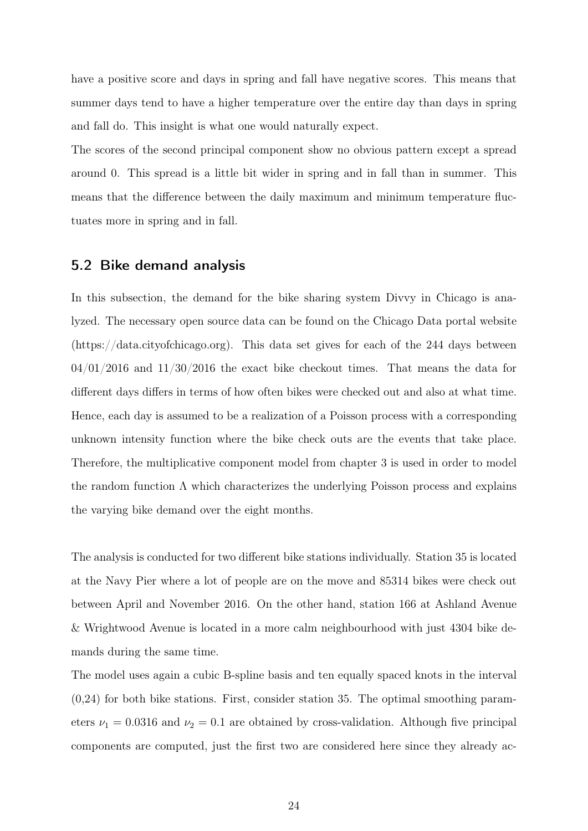have a positive score and days in spring and fall have negative scores. This means that summer days tend to have a higher temperature over the entire day than days in spring and fall do. This insight is what one would naturally expect.

The scores of the second principal component show no obvious pattern except a spread around 0. This spread is a little bit wider in spring and in fall than in summer. This means that the difference between the daily maximum and minimum temperature fluctuates more in spring and in fall.

#### 5.2 Bike demand analysis

In this subsection, the demand for the bike sharing system Divvy in Chicago is analyzed. The necessary open source data can be found on the Chicago Data portal website (https://data.cityofchicago.org). This data set gives for each of the 244 days between  $04/01/2016$  and  $11/30/2016$  the exact bike checkout times. That means the data for different days differs in terms of how often bikes were checked out and also at what time. Hence, each day is assumed to be a realization of a Poisson process with a corresponding unknown intensity function where the bike check outs are the events that take place. Therefore, the multiplicative component model from chapter 3 is used in order to model the random function  $\Lambda$  which characterizes the underlying Poisson process and explains the varying bike demand over the eight months.

The analysis is conducted for two different bike stations individually. Station 35 is located at the Navy Pier where a lot of people are on the move and 85314 bikes were check out between April and November 2016. On the other hand, station 166 at Ashland Avenue & Wrightwood Avenue is located in a more calm neighbourhood with just 4304 bike demands during the same time.

The model uses again a cubic B-spline basis and ten equally spaced knots in the interval  $(0.24)$  for both bike stations. First, consider station 35. The optimal smoothing parameters  $\nu_1 = 0.0316$  and  $\nu_2 = 0.1$  are obtained by cross-validation. Although five principal components are computed, just the first two are considered here since they already ac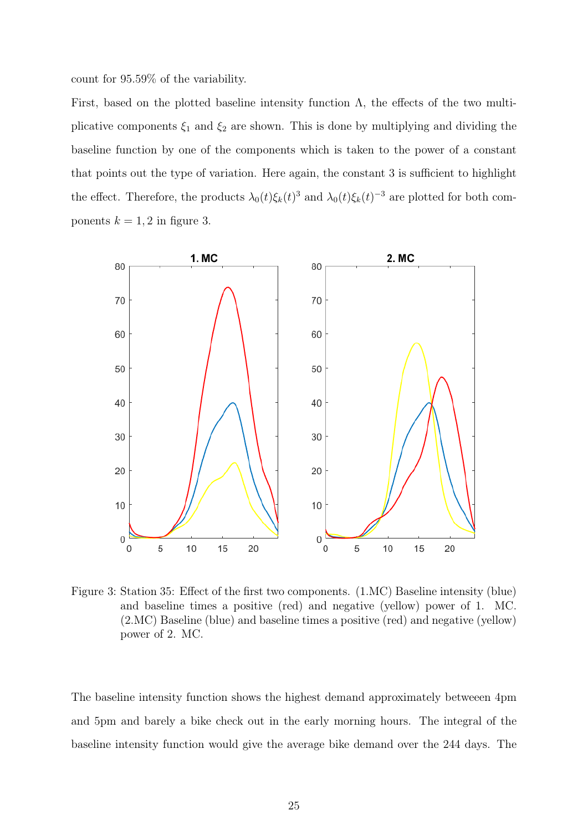count for 95.59% of the variability.

First, based on the plotted baseline intensity function  $\Lambda$ , the effects of the two multiplicative components  $\xi_1$  and  $\xi_2$  are shown. This is done by multiplying and dividing the baseline function by one of the components which is taken to the power of a constant that points out the type of variation. Here again, the constant 3 is sufficient to highlight the effect. Therefore, the products  $\lambda_0(t)\xi_k(t)^3$  and  $\lambda_0(t)\xi_k(t)^{-3}$  are plotted for both components  $k = 1, 2$  in figure 3.



Figure 3: Station 35: Effect of the first two components. (1.MC) Baseline intensity (blue) and baseline times a positive (red) and negative (yellow) power of 1. MC. (2.MC) Baseline (blue) and baseline times a positive (red) and negative (yellow) power of 2. MC.

The baseline intensity function shows the highest demand approximately betweeen 4pm and 5pm and barely a bike check out in the early morning hours. The integral of the baseline intensity function would give the average bike demand over the 244 days. The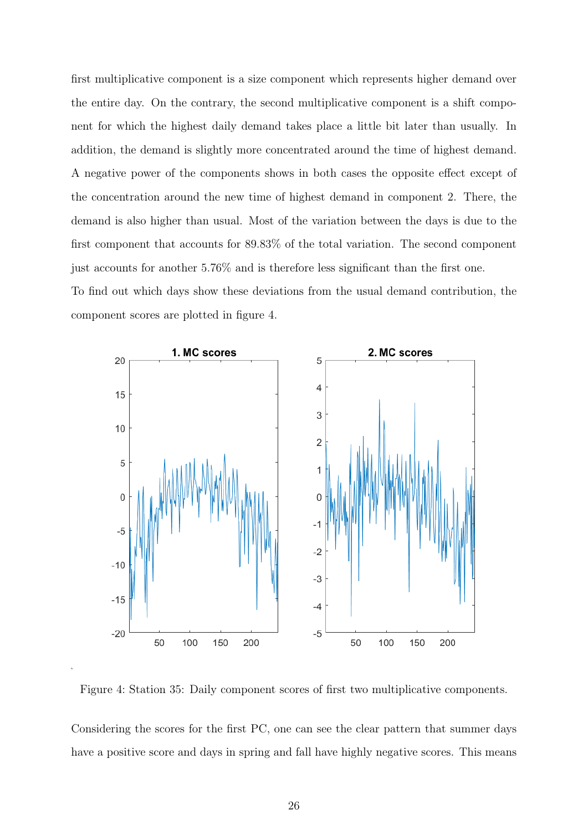first multiplicative component is a size component which represents higher demand over the entire day. On the contrary, the second multiplicative component is a shift component for which the highest daily demand takes place a little bit later than usually. In addition, the demand is slightly more concentrated around the time of highest demand. A negative power of the components shows in both cases the opposite effect except of the concentration around the new time of highest demand in component 2. There, the demand is also higher than usual. Most of the variation between the days is due to the first component that accounts for 89.83% of the total variation. The second component just accounts for another 5.76% and is therefore less significant than the first one.

To find out which days show these deviations from the usual demand contribution, the component scores are plotted in figure 4.



Figure 4: Station 35: Daily component scores of first two multiplicative components.

Considering the scores for the first PC, one can see the clear pattern that summer days have a positive score and days in spring and fall have highly negative scores. This means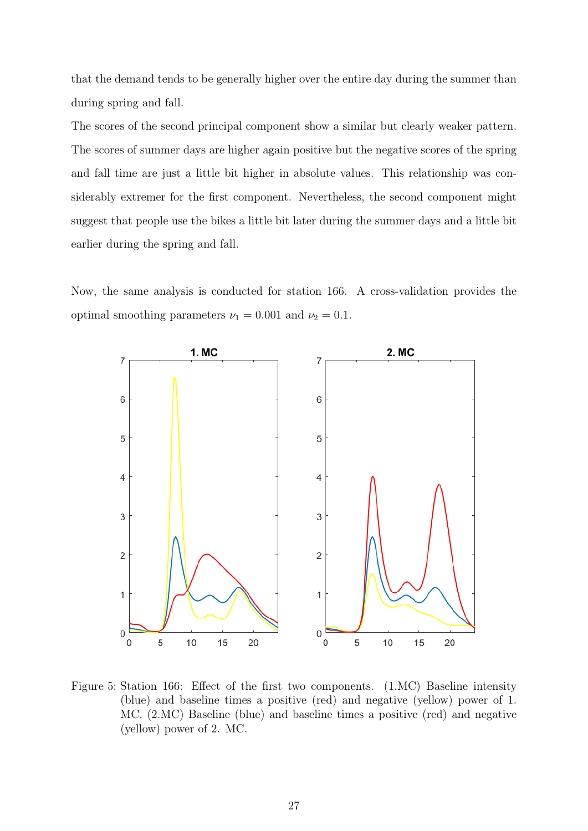that the demand tends to be generally higher over the entire day during the summer than during spring and fall.

The scores of the second principal component show a similar but clearly weaker pattern. The scores of summer days are higher again positive but the negative scores of the spring and fall time are just a little bit higher in absolute values. This relationship was considerably extremer for the first component. Nevertheless, the second component might suggest that people use the bikes a little bit later during the summer days and a little bit earlier during the spring and fall.

Now, the same analysis is conducted for station 166. A cross-validation provides the optimal smoothing parameters  $\nu_1 = 0.001$  and  $\nu_2 = 0.1$ .



Figure 5: Station 166: Effect of the first two components. (1.MC) Baseline intensity (blue) and baseline times a positive (red) and negative (yellow) power of 1. MC. (2.MC) Baseline (blue) and baseline times a positive (red) and negative (yellow) power of 2. MC.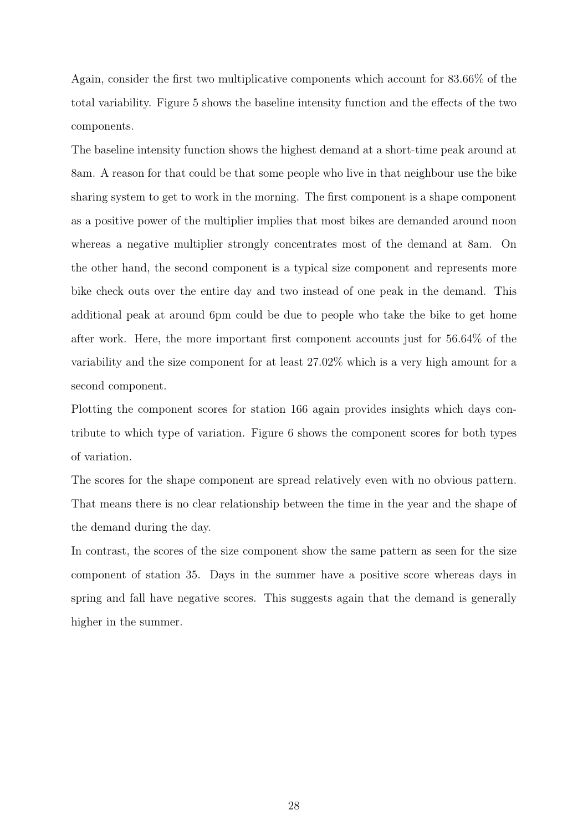Again, consider the first two multiplicative components which account for 83.66% of the total variability. Figure 5 shows the baseline intensity function and the effects of the two components.

The baseline intensity function shows the highest demand at a short-time peak around at 8am. A reason for that could be that some people who live in that neighbour use the bike sharing system to get to work in the morning. The first component is a shape component as a positive power of the multiplier implies that most bikes are demanded around noon whereas a negative multiplier strongly concentrates most of the demand at 8am. On the other hand, the second component is a typical size component and represents more bike check outs over the entire day and two instead of one peak in the demand. This additional peak at around 6pm could be due to people who take the bike to get home after work. Here, the more important first component accounts just for 56.64% of the variability and the size component for at least 27.02% which is a very high amount for a second component.

Plotting the component scores for station 166 again provides insights which days contribute to which type of variation. Figure 6 shows the component scores for both types of variation.

The scores for the shape component are spread relatively even with no obvious pattern. That means there is no clear relationship between the time in the year and the shape of the demand during the day.

In contrast, the scores of the size component show the same pattern as seen for the size component of station 35. Days in the summer have a positive score whereas days in spring and fall have negative scores. This suggests again that the demand is generally higher in the summer.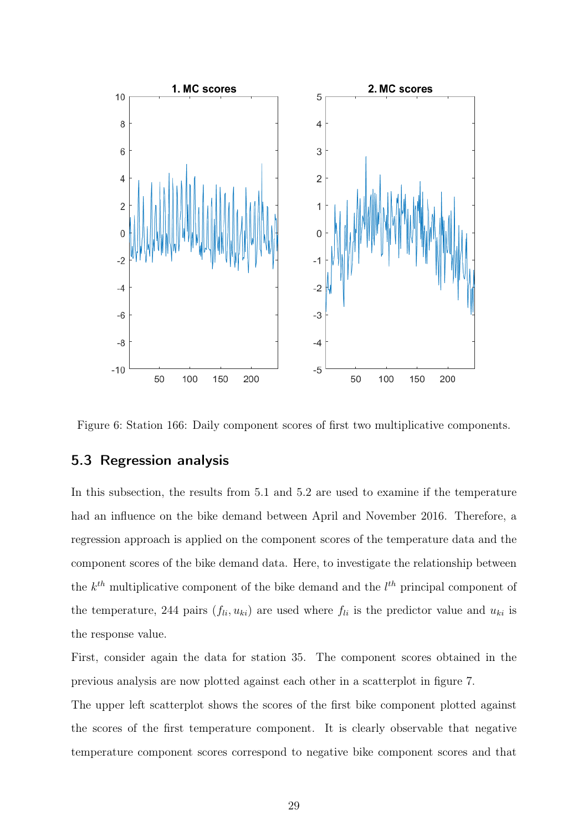

Figure 6: Station 166: Daily component scores of first two multiplicative components.

#### 5.3 Regression analysis

In this subsection, the results from 5.1 and 5.2 are used to examine if the temperature had an influence on the bike demand between April and November 2016. Therefore, a regression approach is applied on the component scores of the temperature data and the component scores of the bike demand data. Here, to investigate the relationship between the  $k^{th}$  multiplicative component of the bike demand and the  $l^{th}$  principal component of the temperature, 244 pairs  $(f_{li}, u_{ki})$  are used where  $f_{li}$  is the predictor value and  $u_{ki}$  is the response value.

First, consider again the data for station 35. The component scores obtained in the previous analysis are now plotted against each other in a scatterplot in figure 7.

The upper left scatterplot shows the scores of the first bike component plotted against the scores of the first temperature component. It is clearly observable that negative temperature component scores correspond to negative bike component scores and that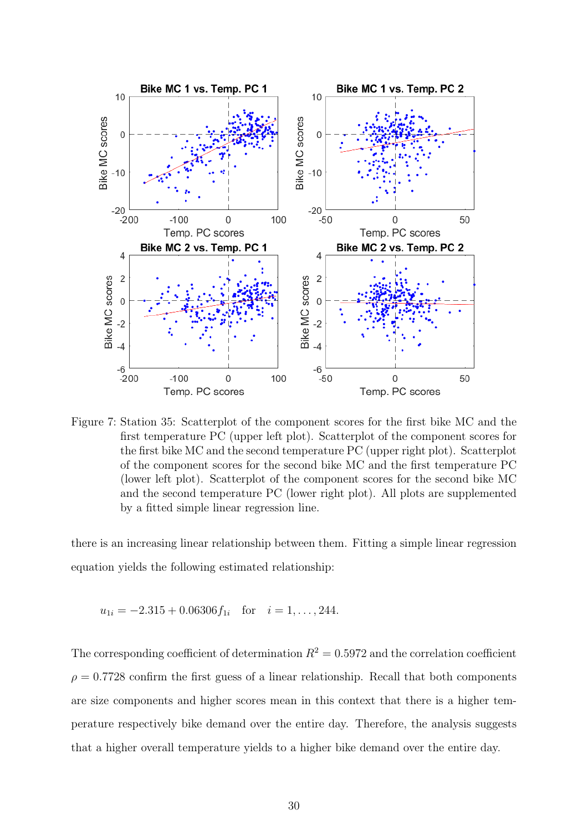

Figure 7: Station 35: Scatterplot of the component scores for the first bike MC and the first temperature PC (upper left plot). Scatterplot of the component scores for the first bike MC and the second temperature PC (upper right plot). Scatterplot of the component scores for the second bike MC and the first temperature PC (lower left plot). Scatterplot of the component scores for the second bike MC and the second temperature PC (lower right plot). All plots are supplemented by a fitted simple linear regression line.

there is an increasing linear relationship between them. Fitting a simple linear regression equation yields the following estimated relationship:

$$
u_{1i} = -2.315 + 0.06306 f_{1i}
$$
 for  $i = 1, ..., 244$ .

The corresponding coefficient of determination  $R^2 = 0.5972$  and the correlation coefficient  $\rho = 0.7728$  confirm the first guess of a linear relationship. Recall that both components are size components and higher scores mean in this context that there is a higher temperature respectively bike demand over the entire day. Therefore, the analysis suggests that a higher overall temperature yields to a higher bike demand over the entire day.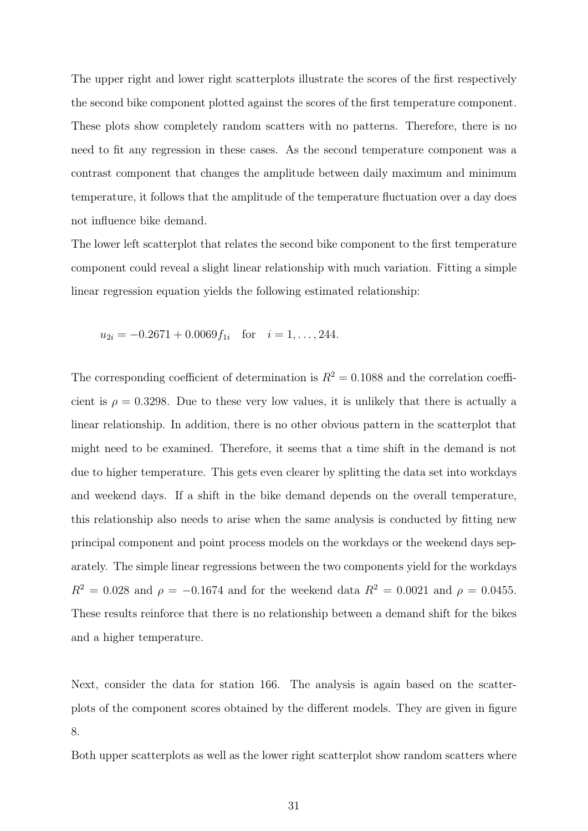The upper right and lower right scatterplots illustrate the scores of the first respectively the second bike component plotted against the scores of the first temperature component. These plots show completely random scatters with no patterns. Therefore, there is no need to fit any regression in these cases. As the second temperature component was a contrast component that changes the amplitude between daily maximum and minimum temperature, it follows that the amplitude of the temperature fluctuation over a day does not influence bike demand.

The lower left scatterplot that relates the second bike component to the first temperature component could reveal a slight linear relationship with much variation. Fitting a simple linear regression equation yields the following estimated relationship:

$$
u_{2i} = -0.2671 + 0.0069 f_{1i}
$$
 for  $i = 1, ..., 244$ .

The corresponding coefficient of determination is  $R^2 = 0.1088$  and the correlation coefficient is  $\rho = 0.3298$ . Due to these very low values, it is unlikely that there is actually a linear relationship. In addition, there is no other obvious pattern in the scatterplot that might need to be examined. Therefore, it seems that a time shift in the demand is not due to higher temperature. This gets even clearer by splitting the data set into workdays and weekend days. If a shift in the bike demand depends on the overall temperature, this relationship also needs to arise when the same analysis is conducted by fitting new principal component and point process models on the workdays or the weekend days separately. The simple linear regressions between the two components yield for the workdays  $R^2 = 0.028$  and  $\rho = -0.1674$  and for the weekend data  $R^2 = 0.0021$  and  $\rho = 0.0455$ . These results reinforce that there is no relationship between a demand shift for the bikes and a higher temperature.

Next, consider the data for station 166. The analysis is again based on the scatterplots of the component scores obtained by the different models. They are given in figure 8.

Both upper scatterplots as well as the lower right scatterplot show random scatters where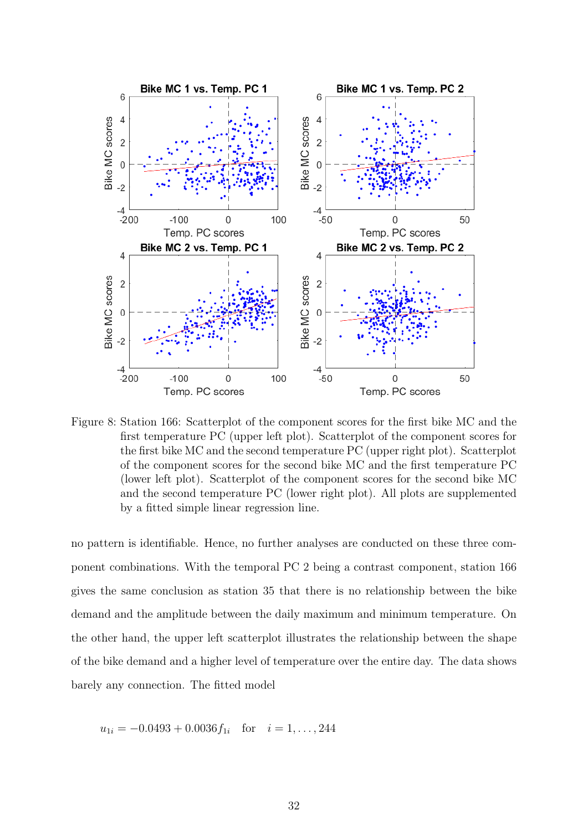

Figure 8: Station 166: Scatterplot of the component scores for the first bike MC and the first temperature PC (upper left plot). Scatterplot of the component scores for the first bike MC and the second temperature PC (upper right plot). Scatterplot of the component scores for the second bike MC and the first temperature PC (lower left plot). Scatterplot of the component scores for the second bike MC and the second temperature PC (lower right plot). All plots are supplemented by a fitted simple linear regression line.

no pattern is identifiable. Hence, no further analyses are conducted on these three component combinations. With the temporal PC 2 being a contrast component, station 166 gives the same conclusion as station 35 that there is no relationship between the bike demand and the amplitude between the daily maximum and minimum temperature. On the other hand, the upper left scatterplot illustrates the relationship between the shape of the bike demand and a higher level of temperature over the entire day. The data shows barely any connection. The fitted model

$$
u_{1i} = -0.0493 + 0.0036 f_{1i}
$$
 for  $i = 1, ..., 244$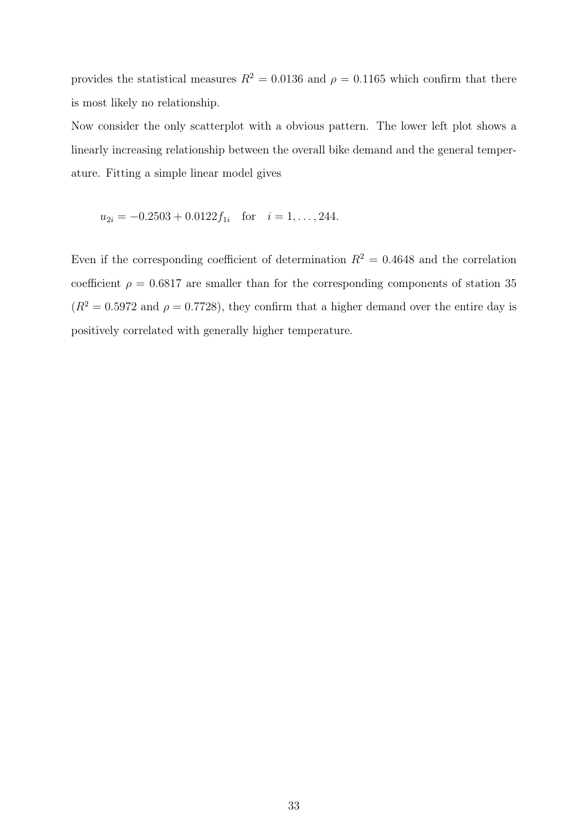provides the statistical measures  $R^2 = 0.0136$  and  $\rho = 0.1165$  which confirm that there is most likely no relationship.

Now consider the only scatterplot with a obvious pattern. The lower left plot shows a linearly increasing relationship between the overall bike demand and the general temperature. Fitting a simple linear model gives

$$
u_{2i} = -0.2503 + 0.0122 f_{1i}
$$
 for  $i = 1, ..., 244$ .

Even if the corresponding coefficient of determination  $R^2 = 0.4648$  and the correlation coefficient  $\rho = 0.6817$  are smaller than for the corresponding components of station 35  $(R^2 = 0.5972$  and  $\rho = 0.7728$ , they confirm that a higher demand over the entire day is positively correlated with generally higher temperature.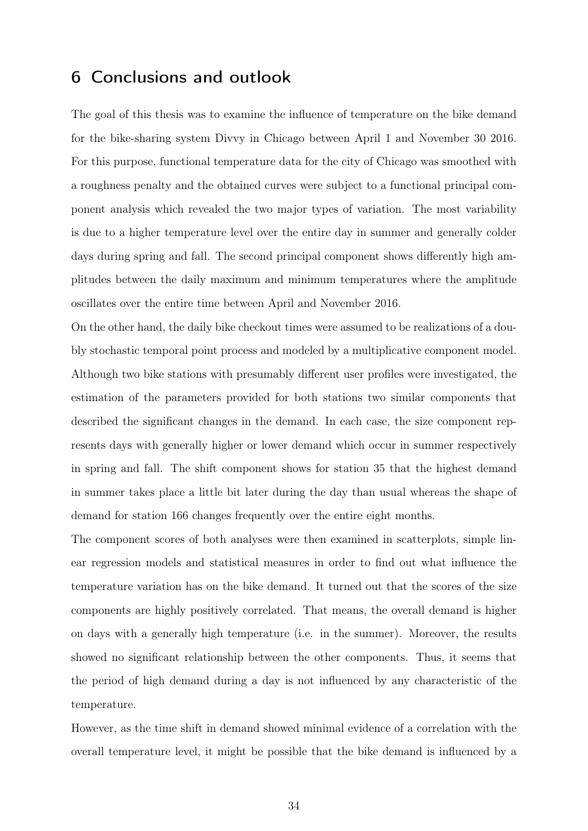## 6 Conclusions and outlook

The goal of this thesis was to examine the influence of temperature on the bike demand for the bike-sharing system Divvy in Chicago between April 1 and November 30 2016. For this purpose, functional temperature data for the city of Chicago was smoothed with a roughness penalty and the obtained curves were subject to a functional principal component analysis which revealed the two major types of variation. The most variability is due to a higher temperature level over the entire day in summer and generally colder days during spring and fall. The second principal component shows differently high amplitudes between the daily maximum and minimum temperatures where the amplitude oscillates over the entire time between April and November 2016.

On the other hand, the daily bike checkout times were assumed to be realizations of a doubly stochastic temporal point process and modeled by a multiplicative component model. Although two bike stations with presumably different user profiles were investigated, the estimation of the parameters provided for both stations two similar components that described the significant changes in the demand. In each case, the size component represents days with generally higher or lower demand which occur in summer respectively in spring and fall. The shift component shows for station 35 that the highest demand in summer takes place a little bit later during the day than usual whereas the shape of demand for station 166 changes frequently over the entire eight months.

The component scores of both analyses were then examined in scatterplots, simple linear regression models and statistical measures in order to find out what influence the temperature variation has on the bike demand. It turned out that the scores of the size components are highly positively correlated. That means, the overall demand is higher on days with a generally high temperature (i.e. in the summer). Moreover, the results showed no significant relationship between the other components. Thus, it seems that the period of high demand during a day is not influenced by any characteristic of the temperature.

However, as the time shift in demand showed minimal evidence of a correlation with the overall temperature level, it might be possible that the bike demand is influenced by a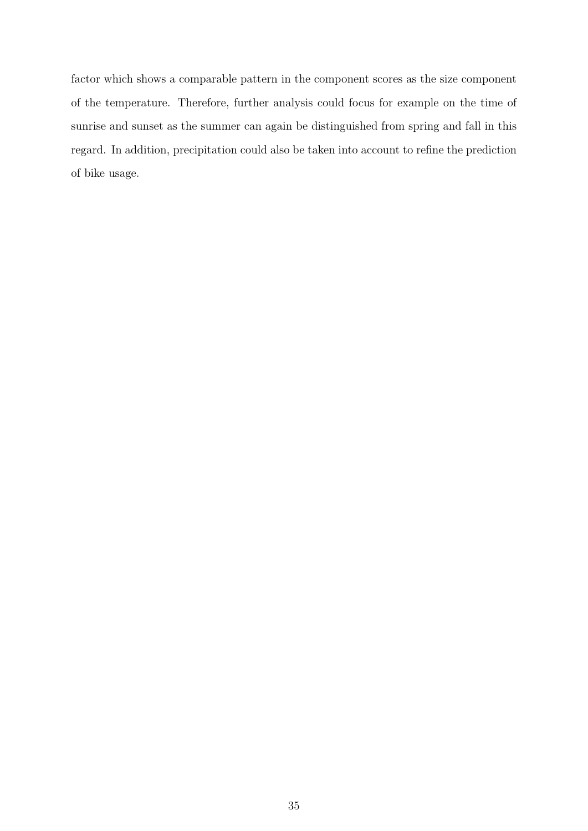factor which shows a comparable pattern in the component scores as the size component of the temperature. Therefore, further analysis could focus for example on the time of sunrise and sunset as the summer can again be distinguished from spring and fall in this regard. In addition, precipitation could also be taken into account to refine the prediction of bike usage.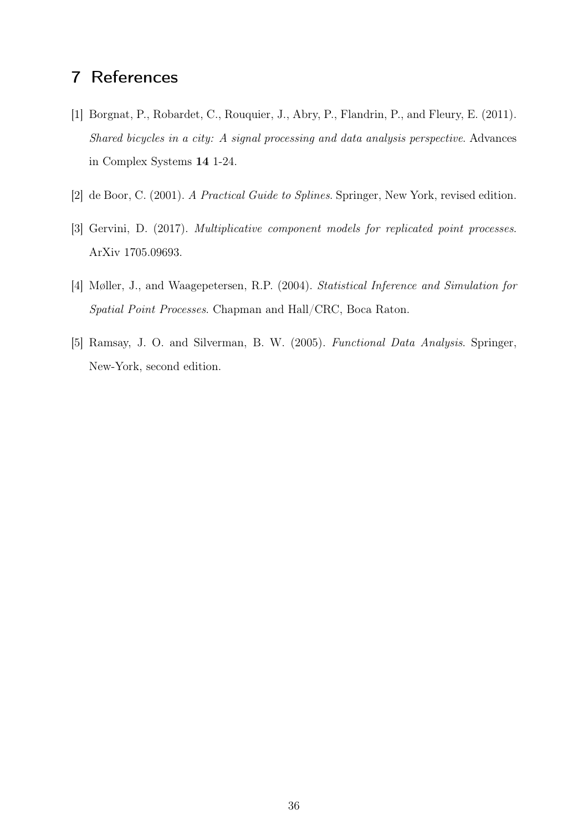## 7 References

- [1] Borgnat, P., Robardet, C., Rouquier, J., Abry, P., Flandrin, P., and Fleury, E. (2011). Shared bicycles in a city: A signal processing and data analysis perspective. Advances in Complex Systems 14 1-24.
- [2] de Boor, C. (2001). A Practical Guide to Splines. Springer, New York, revised edition.
- [3] Gervini, D. (2017). Multiplicative component models for replicated point processes. ArXiv 1705.09693.
- [4] Møller, J., and Waagepetersen, R.P. (2004). Statistical Inference and Simulation for Spatial Point Processes. Chapman and Hall/CRC, Boca Raton.
- [5] Ramsay, J. O. and Silverman, B. W. (2005). Functional Data Analysis. Springer, New-York, second edition.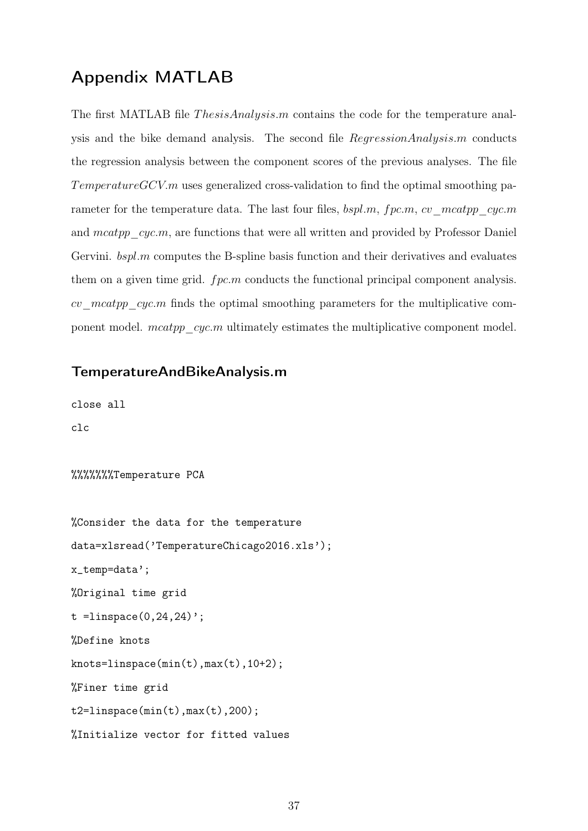## Appendix MATLAB

The first MATLAB file *ThesisAnalysis.m* contains the code for the temperature analysis and the bike demand analysis. The second file RegressionAnalysis.m conducts the regression analysis between the component scores of the previous analyses. The file  $TemperatureGCVm$  uses generalized cross-validation to find the optimal smoothing parameter for the temperature data. The last four files,  $bspl.m, fpc.m, cv-mcatpp-cyc.m$ and  $meatpp-cyc.m$ , are functions that were all written and provided by Professor Daniel Gervini.  $bspl.m$  computes the B-spline basis function and their derivatives and evaluates them on a given time grid.  $fpc.m$  conducts the functional principal component analysis. cv mcatpp cyc.m finds the optimal smoothing parameters for the multiplicative component model.  $mcaption$   $cyc.m$  ultimately estimates the multiplicative component model.

#### TemperatureAndBikeAnalysis.m

close all

clc

%%%%%%%Temperature PCA

```
%Consider the data for the temperature
data=xlsread('TemperatureChicago2016.xls');
x_temp=data';
%Original time grid
t = linspace(0, 24, 24)';
%Define knots
knots=linspace(min(t),max(t),10+2);
%Finer time grid
t2 =linspace(min(t),max(t),200);
%Initialize vector for fitted values
```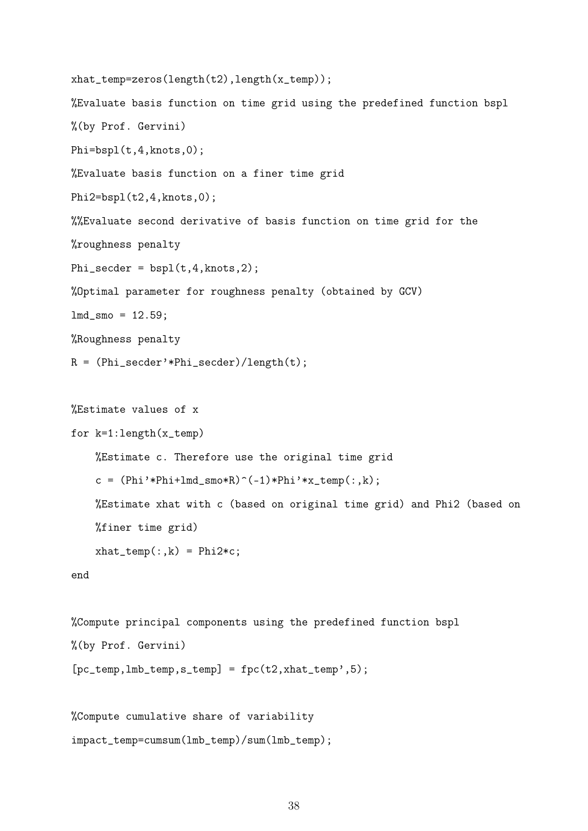```
xhat_temp=zeros(length(t2),length(x_temp));
%Evaluate basis function on time grid using the predefined function bspl
%(by Prof. Gervini)
Phi=bspl(t,4,knots,0);
%Evaluate basis function on a finer time grid
Phi2=bspl(t2,4,knots,0);
%%Evaluate second derivative of basis function on time grid for the
%roughness penalty
Phi_secder = bspl(t,4,knots,2);
%Optimal parameter for roughness penalty (obtained by GCV)
lmd_{smo} = 12.59;%Roughness penalty
R = (Phi_secder'*Phi_secder)/length(t);
```

```
%Estimate values of x
for k=1:length(x_temp)
    %Estimate c. Therefore use the original time grid
    c = (Phi'*Phi+Imd-smo*R)^(-1)*Phi'*x_ttemp(:,k);%Estimate xhat with c (based on original time grid) and Phi2 (based on
```
 $xhat_temp(:,k) = Phi2*c;$ 

%finer time grid)

```
%Compute principal components using the predefined function bspl
%(by Prof. Gervini)
[pc_temp,lmb_temp,s_temp] = fpc(t2,xhat_temp',5);
```

```
%Compute cumulative share of variability
impact_temp=cumsum(lmb_temp)/sum(lmb_temp);
```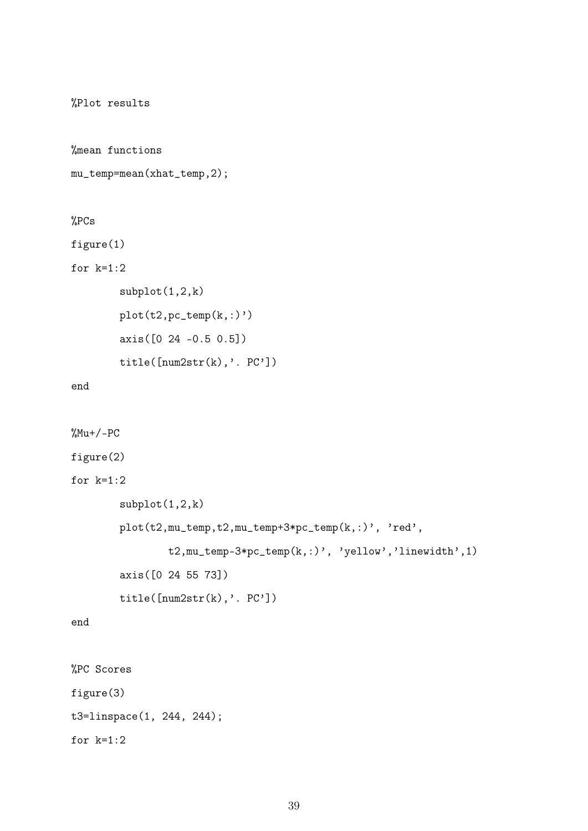%Plot results

%mean functions

```
mu_temp=mean(xhat_temp,2);
```
%PCs

figure(1)

for  $k=1:2$ 

```
subplot(1,2,k)
plot(t2, pc_temp(k,:)')axis([0 24 -0.5 0.5])
title([num2str(k),'. PC'])
```
end

```
\frac{\%Mu+}{-PC}figure(2)
for k=1:2subplot(1,2,k)
        plot(t2,mu_temp,t2,mu_temp+3*pc_temp(k,:)', 'red',
                t2,mu_temp-3*pc_temp(k,:)', 'yellow','linewidth',1)
        axis([0 24 55 73])
        title([num2str(k),'. PC'])
end
%PC Scores
```
figure(3) t3=linspace(1, 244, 244); for  $k=1:2$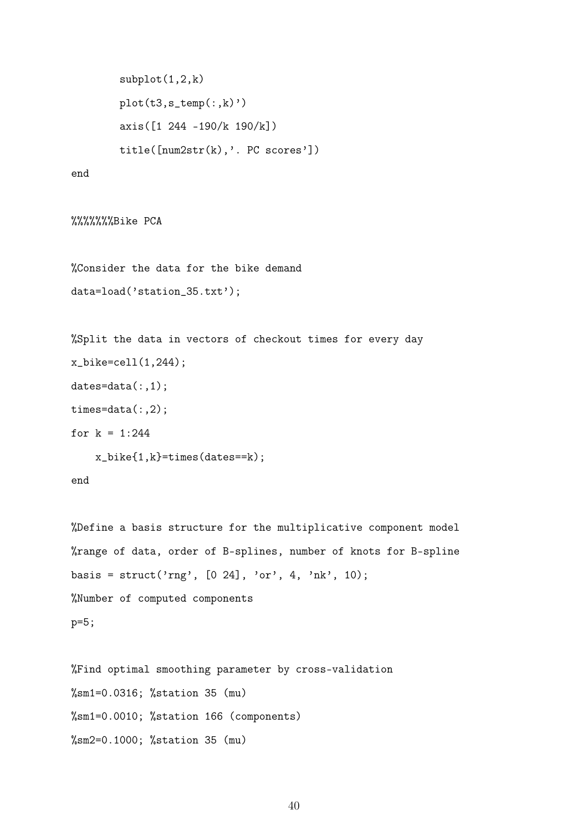```
subplot(1,2,k)
plot(t3,s_ttemp(:,k))axis([1 244 -190/k 190/k])
title([num2str(k),'. PC scores'])
```
%%%%%%%Bike PCA

%Consider the data for the bike demand data=load('station\_35.txt');

```
%Split the data in vectors of checkout times for every day
x_bike=cell(1,244);
dates=data(:,1);times=data(:,2);
for k = 1:244
```
x\_bike{1,k}=times(dates==k);

```
%Define a basis structure for the multiplicative component model
%range of data, order of B-splines, number of knots for B-spline
basis = struct('rng', [0 24], 'or', 4, 'nk', 10);
%Number of computed components
p=5;
```

```
%Find optimal smoothing parameter by cross-validation
%sm1=0.0316; %station 35 (mu)
%sm1=0.0010; %station 166 (components)
%sm2=0.1000; %station 35 (mu)
```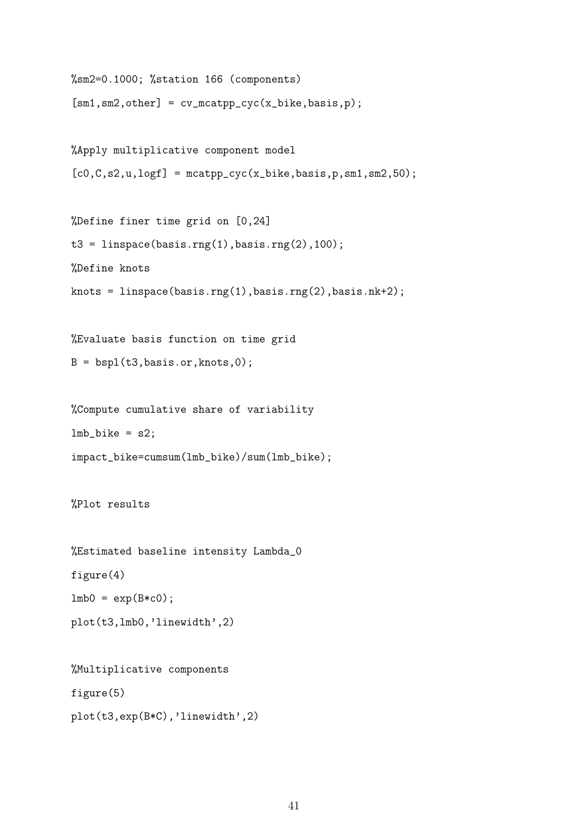```
%sm2=0.1000; %station 166 (components)
[sm1,sm2,other] = cv_mcatpp_cyc(x_bike, basis,p);
```

```
%Apply multiplicative component model
[c0,C,s2,u,logf] = maxpp_cyc(x_bike,basis,p,sm1,sm2,50);
```
%Define finer time grid on [0,24]  $t3 = 1$ inspace(basis.rng(1),basis.rng(2),100); %Define knots knots = linspace(basis.rng(1),basis.rng(2),basis.nk+2);

%Evaluate basis function on time grid  $B = bsp1(t3,basis.org,knots,0);$ 

%Compute cumulative share of variability  $lmb_bike = s2;$ impact\_bike=cumsum(lmb\_bike)/sum(lmb\_bike);

%Plot results

```
%Estimated baseline intensity Lambda_0
figure(4)
lmb0 = exp(B*c0);plot(t3,lmb0,'linewidth',2)
```
%Multiplicative components figure(5) plot(t3,exp(B\*C),'linewidth',2)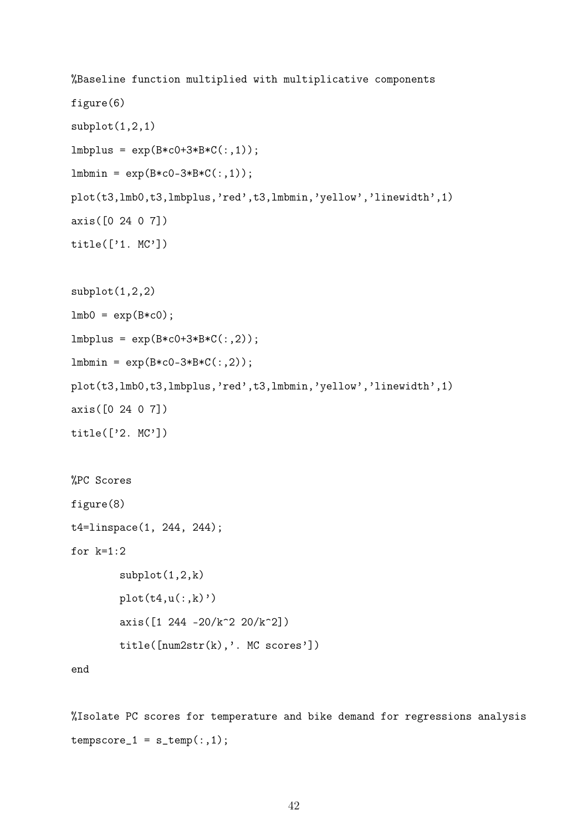```
%Baseline function multiplied with multiplicative components
figure(6)
subplot(1,2,1)lmbplus = exp(B*c0+3*B*C(:,1));lmbm = exp(B*c0-3*B*C(:, 1));plot(t3,lmb0,t3,lmbplus,'red',t3,lmbmin,'yellow','linewidth',1)
axis([0 24 0 7])
title(['1. MC'])
subplot(1,2,2)
lmb0 = exp(B*c0);lmbplus = exp(B*c0+3*B*C(:,2));lmbmin = exp(B*c0-3*B*C(:,2));plot(t3,lmb0,t3,lmbplus,'red',t3,lmbmin,'yellow','linewidth',1)
axis([0 24 0 7])
title(['2. MC'])
%PC Scores
figure(8)
t4=linspace(1, 244, 244);
for k=1:2subplot(1,2,k)
       plot(t4,u(:,k))axis([1 244 -20/k^2 20/k^2])
        title([num2str(k),'. MC scores'])
end
```
%Isolate PC scores for temperature and bike demand for regressions analysis  $tempscore_1 = s_temp(:,1);$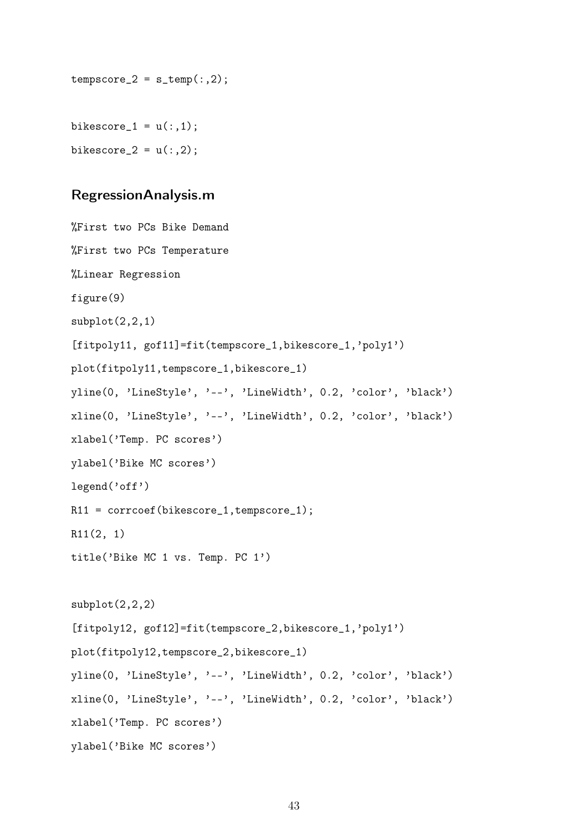```
tempscore_2 = s_temp(:,2);
```
bikescore $_1 = u(:,1);$ bikescore\_ $2 = u(:,2)$ ;

### RegressionAnalysis.m

```
%First two PCs Bike Demand
%First two PCs Temperature
%Linear Regression
figure(9)
subplot(2,2,1)[fitpoly11, gof11]=fit(tempscore_1,bikescore_1,'poly1')
plot(fitpoly11,tempscore_1,bikescore_1)
yline(0, 'LineStyle', '--', 'LineWidth', 0.2, 'color', 'black')
xline(0, 'LineStyle', '--', 'LineWidth', 0.2, 'color', 'black')
xlabel('Temp. PC scores')
ylabel('Bike MC scores')
legend('off')
R11 = corrcoef(bikescore_1,tempscore_1);
R11(2, 1)
title('Bike MC 1 vs. Temp. PC 1')
subplot(2,2,2)[fitpoly12, gof12]=fit(tempscore_2,bikescore_1,'poly1')
plot(fitpoly12,tempscore_2,bikescore_1)
yline(0, 'LineStyle', '--', 'LineWidth', 0.2, 'color', 'black')
xline(0, 'LineStyle', '--', 'LineWidth', 0.2, 'color', 'black')
xlabel('Temp. PC scores')
ylabel('Bike MC scores')
```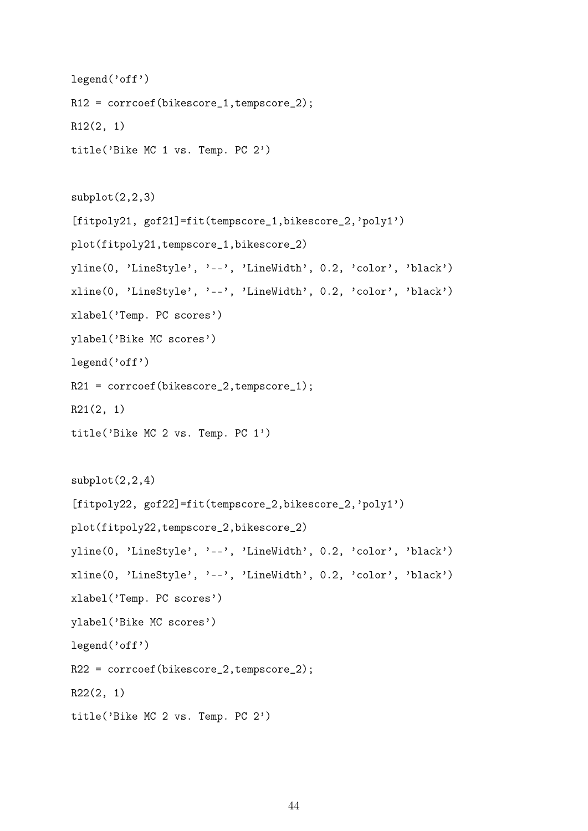```
legend('off')
R12 = corrcoef(bikescore_1,tempscore_2);
R12(2, 1)
title('Bike MC 1 vs. Temp. PC 2')
subplot(2,2,3)[fitpoly21, gof21]=fit(tempscore_1,bikescore_2,'poly1')
plot(fitpoly21,tempscore_1,bikescore_2)
yline(0, 'LineStyle', '--', 'LineWidth', 0.2, 'color', 'black')
xline(0, 'LineStyle', '--', 'LineWidth', 0.2, 'color', 'black')
xlabel('Temp. PC scores')
ylabel('Bike MC scores')
legend('off')
R21 = corrcoef(bikescore_2,tempscore_1);
R21(2, 1)
title('Bike MC 2 vs. Temp. PC 1')
subplot(2,2,4)[fitpoly22, gof22]=fit(tempscore_2,bikescore_2,'poly1')
plot(fitpoly22,tempscore_2,bikescore_2)
yline(0, 'LineStyle', '--', 'LineWidth', 0.2, 'color', 'black')
xline(0, 'LineStyle', '--', 'LineWidth', 0.2, 'color', 'black')
xlabel('Temp. PC scores')
ylabel('Bike MC scores')
legend('off')
R22 = corrcoef(bikescore_2,tempscore_2);
R22(2, 1)
title('Bike MC 2 vs. Temp. PC 2')
```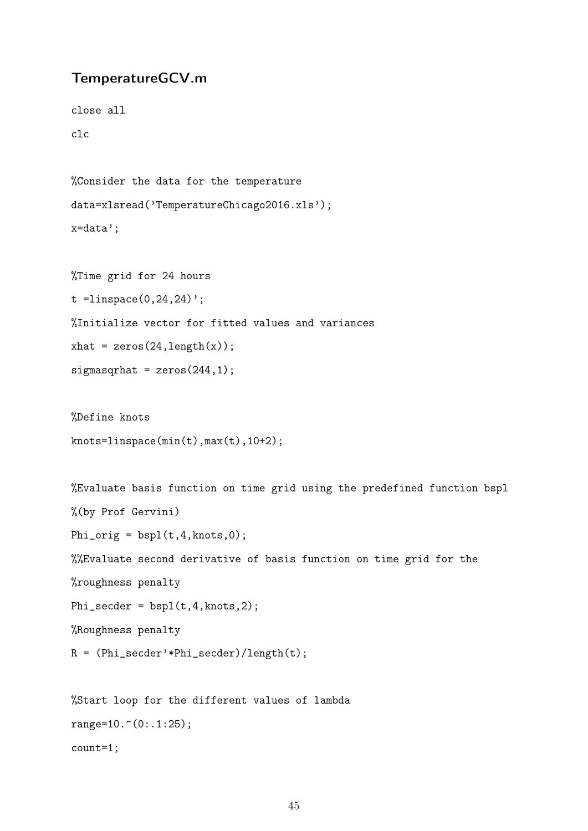### TemperatureGCV.m

close all

clc

%Consider the data for the temperature data=xlsread('TemperatureChicago2016.xls'); x=data';

%Time grid for 24 hours

t =  $linspace(0, 24, 24)$ ';

%Initialize vector for fitted values and variances

 $xhat = zeros(24, length(x));$ 

 $signasqthat = zeros(244, 1);$ 

%Define knots knots=linspace(min(t),max(t),10+2);

%Evaluate basis function on time grid using the predefined function bspl %(by Prof Gervini) Phi\_orig =  $bspl(t,4,knots,0);$ %%Evaluate second derivative of basis function on time grid for the %roughness penalty Phi\_secder =  $bspl(t,4, knots,2)$ ; %Roughness penalty R = (Phi\_secder'\*Phi\_secder)/length(t);

%Start loop for the different values of lambda range=10. $^{\circ}(0:.1:25)$ ; count=1;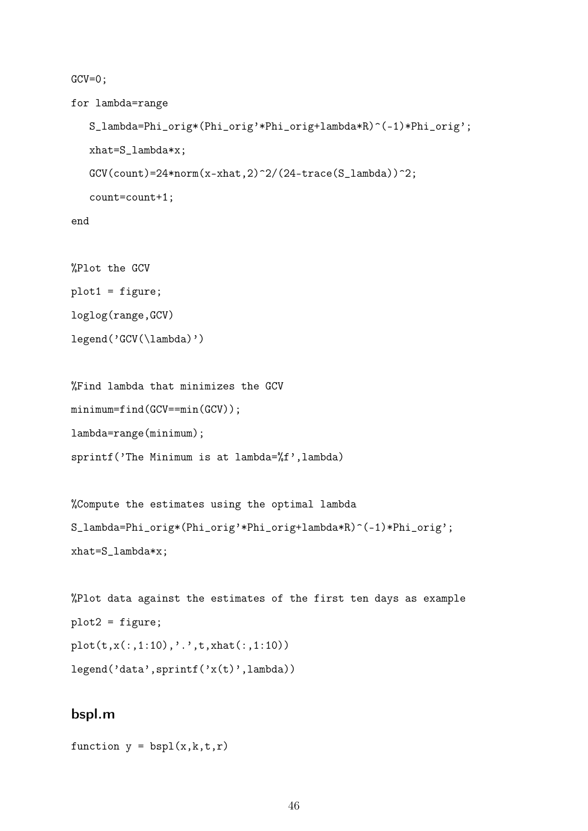$GCV=0;$ 

for lambda=range

```
S_lambda=Phi_orig*(Phi_orig'*Phi_orig+lambda*R)^(-1)*Phi_orig';
  xhat=S_lambda*x;
  GCV(count)=24*norm(x-xhat,2)^2/(24-trace(S_lambda))^2;
  count=count+1;
end
```

```
%Plot the GCV
plot1 = figure;
loglog(range,GCV)
legend('GCV(\lambda)')
```

```
%Find lambda that minimizes the GCV
minimum=find(GCV==min(GCV));
lambda=range(minimum);
sprintf('The Minimum is at lambda=%f',lambda)
```
%Compute the estimates using the optimal lambda S\_lambda=Phi\_orig\*(Phi\_orig'\*Phi\_orig+lambda\*R)^(-1)\*Phi\_orig'; xhat=S\_lambda\*x;

```
%Plot data against the estimates of the first ten days as example
plot2 = figure;
plot(t,x(:,1:10),'.',t,xhat(:,1:10))
legend('data',sprintf('x(t)',lambda))
```
#### bspl.m

```
function y = bsp1(x, k, t, r)
```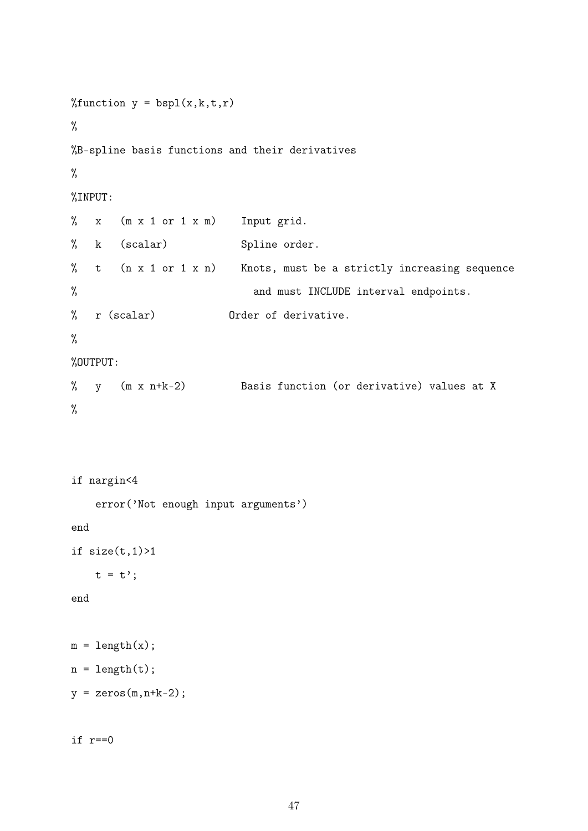```
%function y = bsp1(x, k, t, r)%
%B-spline basis functions and their derivatives
%
%INPUT:
% x (m x 1 or 1 x m) Input grid.
% k (scalar) Spline order.
% t (n x 1 or 1 x n) Knots, must be a strictly increasing sequence
% and must INCLUDE interval endpoints.
% r (scalar) Order of derivative.
%
%OUTPUT:
% y (m x n+k-2) Basis function (or derivative) values at X
%
```

```
if nargin<4
    error('Not enough input arguments')
end
if size(t,1)>1t = t<sup>'</sup>;
end
```
 $m = length(x);$  $n = length(t);$ 

```
y = zeros(m,n+k-2);
```

```
if r==0
```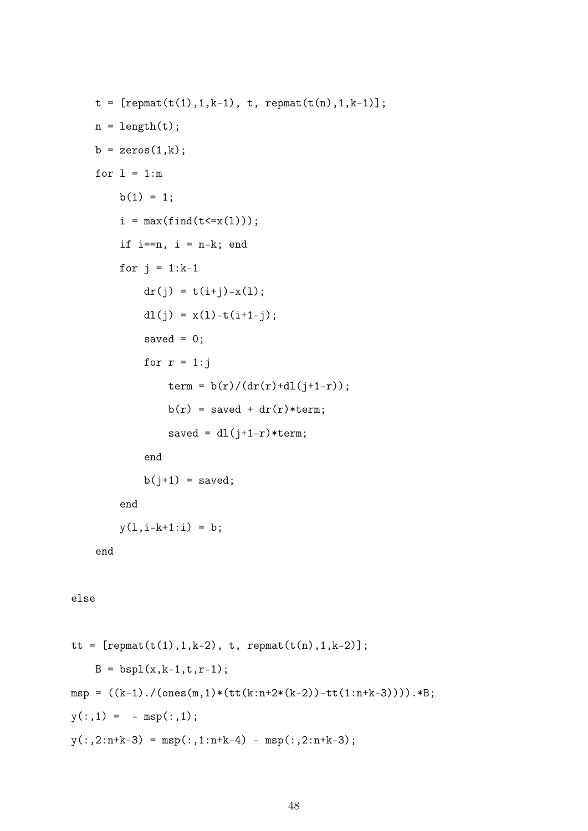```
t = [report(t(1), 1, k-1), t, report(t(n), 1, k-1)];n = length(t);b = zeros(1, k);for l = 1:mb(1) = 1;i = max(find(t \le x(1)));
        if i == n, i = n-k; end
        for j = 1:k-1dr(j) = t(i+j) - x(1);dl(j) = x(1) - t(i+1-j);
            saved = 0;
            for r = 1:jterm = b(r)/(dr(r)+dl(j+1-r));b(r) = saved + dr(r)*term;
                saved = dl(j+1-r)*term;end
            b(j+1) = saved;end
        y(1,i-k+1:i) = b;end
else
tt = [report(t(1), 1, k-2), t, report(t(n), 1, k-2)];B = bsp1(x, k-1, t, r-1);msp = ((k-1)./(ones(m,1)*(tt(k:n+2*(k-2))-tt(1:n+k-3)))).*B;
```

```
y(:,1) = - msp(:,1);
```

```
y(:,2:n+k-3) = msp(:,1:n+k-4) - msp(:,2:n+k-3);
```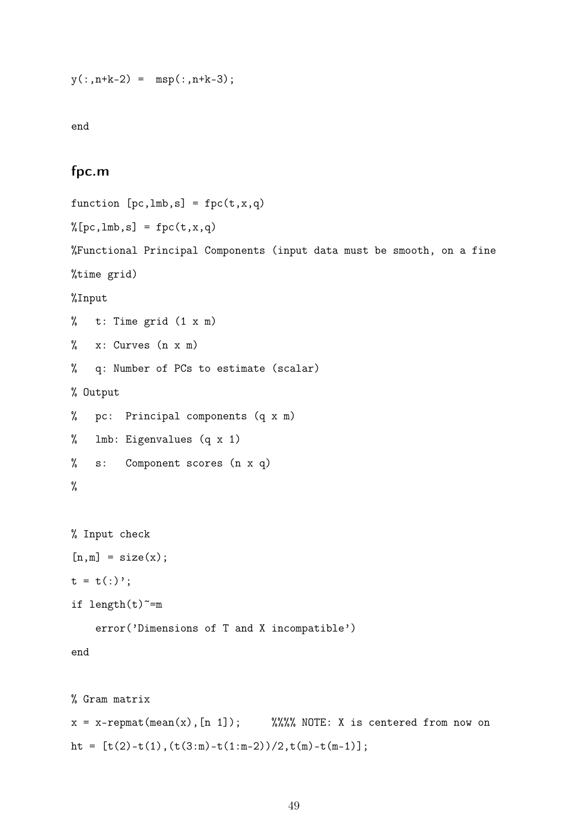$y(:,n+k-2) = msp(:,n+k-3);$ 

end

## fpc.m

```
function [pc,lmb,s] = fpc(t,x,q)\sqrt[n]{p}c, lmb, s] = fpc(t, x, q)
%Functional Principal Components (input data must be smooth, on a fine
%time grid)
%Input
% t: Time grid (1 \times m)% x: Curves (n x m)
% q: Number of PCs to estimate (scalar)
% Output
% pc: Principal components (q x m)
% lmb: Eigenvalues (q x 1)
% s: Component scores (n x q)
%
% Input check
[n,m] = size(x);t = t(:);
if length(t)<sup>=</sup>merror('Dimensions of T and X incompatible')
end
% Gram matrix
x = x-repmat(mean(x), [n 1]); %%%% NOTE: X is centered from now on
ht = [t(2)-t(1), (t(3:m)-t(1:m-2))/2, t(m)-t(m-1)];
```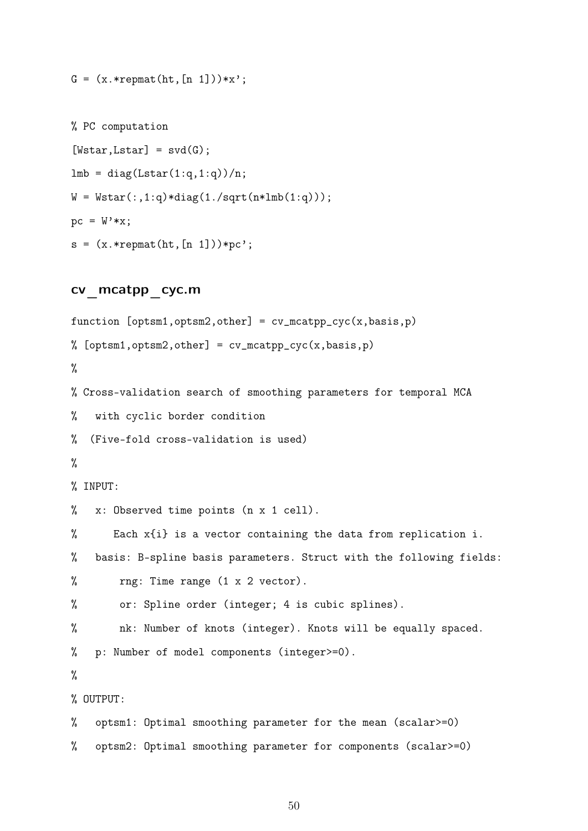$G = (x.*remat(ht,[n 1]))**$ ;

```
% PC computation
[Wstar,Lstar] = svd(G);lmb = diag(Lstar(1:q,1:q))/n;W = Wstar(:,1:q) *diag(1./sqrt(n*1mb(1:q)));pc = W' * x;s = (x.*remat(ht,[n 1]))*pc';
```
#### cv\_mcatpp\_cyc.m

function  $[$ optsm1,optsm2,other] =  $cv$ \_mcatpp\_cyc(x,basis,p) %  $[optsm1, optsm2, other] = cv_mcatpp_cyc(x, basis,p)$ % % Cross-validation search of smoothing parameters for temporal MCA % with cyclic border condition % (Five-fold cross-validation is used) % % INPUT: % x: Observed time points (n x 1 cell). % Each x{i} is a vector containing the data from replication i. % basis: B-spline basis parameters. Struct with the following fields: % rng: Time range (1 x 2 vector). % or: Spline order (integer; 4 is cubic splines). % nk: Number of knots (integer). Knots will be equally spaced. % p: Number of model components (integer>=0). % % OUTPUT: % optsm1: Optimal smoothing parameter for the mean (scalar>=0) % optsm2: Optimal smoothing parameter for components (scalar>=0)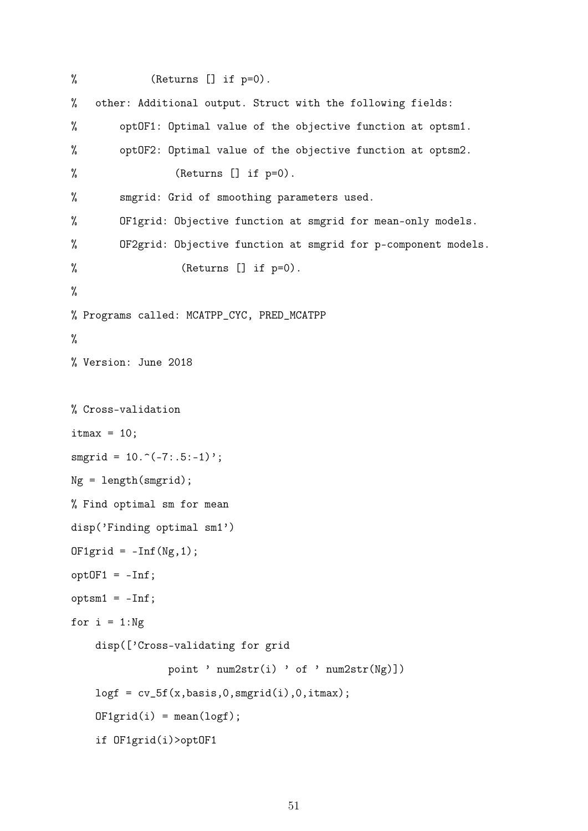```
% (Returns [] if p=0).% other: Additional output. Struct with the following fields:
% optOF1: Optimal value of the objective function at optsm1.
% optOF2: Optimal value of the objective function at optsm2.
% (Returns [] if p=0).
% smgrid: Grid of smoothing parameters used.
% OF1grid: Objective function at smgrid for mean-only models.
% OF2grid: Objective function at smgrid for p-component models.
% (Returns [] if p=0).
%
% Programs called: MCATPP_CYC, PRED_MCATPP
%
% Version: June 2018
% Cross-validation
itmax = 10:
smprid = 10.^(-7:.5:-1);
Ng = length(smgrid);% Find optimal sm for mean
disp('Finding optimal sm1')
OF1grid = -Inf(Ng,1);opt0F1 = -Inf;optsm1 = -Inf;for i = 1:Ngdisp(['Cross-validating for grid
              point ' num2str(i) ' of ' num2str(Ng)])
   logf = cv_5f(x, basis, 0, smprid(i), 0, itmax);OF1grid(i) = mean(logf);if OF1grid(i)>optOF1
```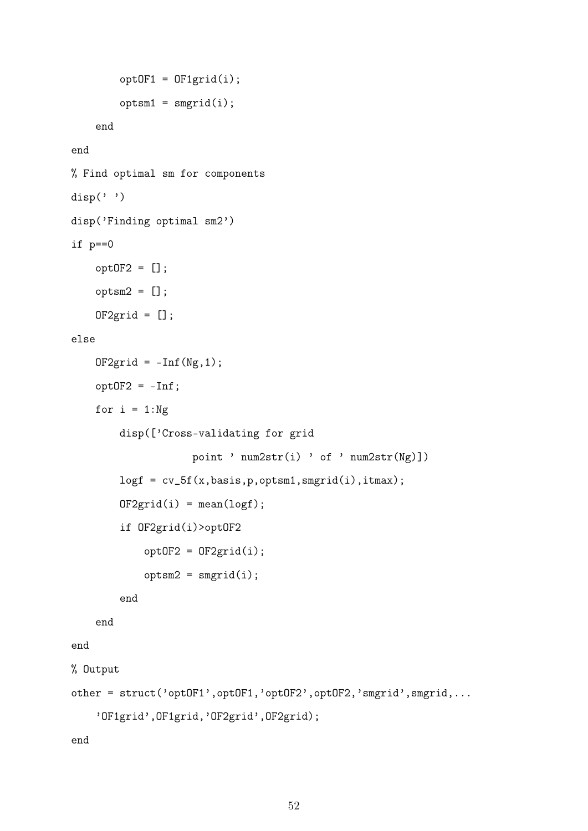```
opt0F1 = 0F1grid(i);optsm1 = smgrid(i);end
end
% Find optimal sm for components
disp('')disp('Finding optimal sm2')
if p==0
    opt0F2 = [];
    optsm2 = [];
    OF2grid = [];
else
    OF2grid = -Inf(Ng,1);opt0F2 = -Inf;for i = 1:Ngdisp(['Cross-validating for grid
                    point ' num2str(i) ' of ' num2str(Ng)])
        log f = cv_5f(x, basis, p, optsm1, smgrid(i), itmax);0F2grid(i) = mean(logf);if OF2grid(i)>optOF2
            opt0F2 = 0F2grid(i);optsm2 = smgrid(i);end
    end
end
% Output
other = struct('optOF1',optOF1,'optOF2',optOF2,'smgrid',smgrid,...
    'OF1grid',OF1grid,'OF2grid',OF2grid);
end
```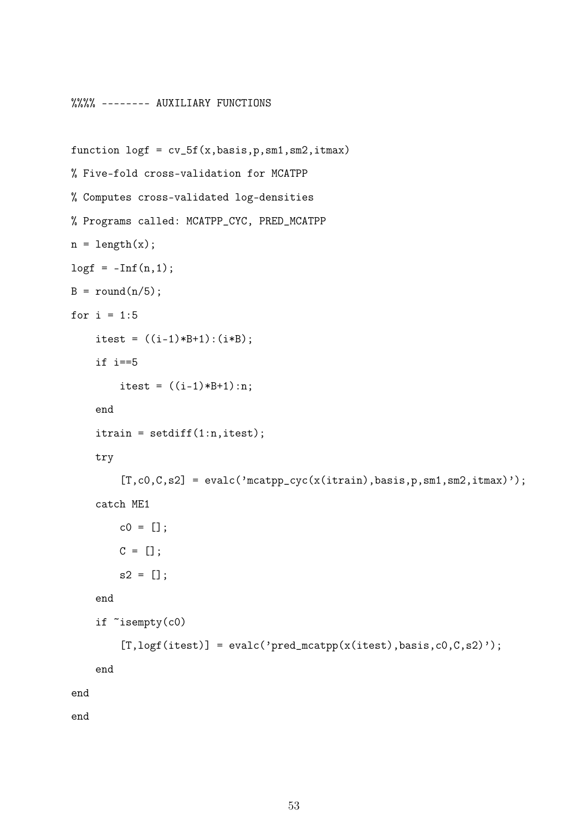```
%%%% -------- AUXILIARY FUNCTIONS
function \text{log}f = \text{cv}_5f(x, \text{basis}, p, \text{sm1}, \text{sm2}, \text{itmax})% Five-fold cross-validation for MCATPP
% Computes cross-validated log-densities
% Programs called: MCATPP_CYC, PRED_MCATPP
n = length(x);\text{log}f = -\text{Inf}(n,1);B = round(n/5);for i = 1:5itest = ((i-1)*B+1):(i*B);if i==5
         itest = ((i-1)*B+1):n;end
    itrain = setdiff(1:n,itest);
    try
         [T, c0, C, s2] = evalc('mcatpp_cyc(x(itrain), basis, p, sm1, sm2, itmax)catch ME1
         c0 = [];
         C = [];
         s2 = [];
    end
    if ~isempty(c0)
         [T, \text{logf}(itest)] = \text{evalc}'\text{pred\_mcatpp}(x(itest), basis, c0, C, s2)');
    end
end
```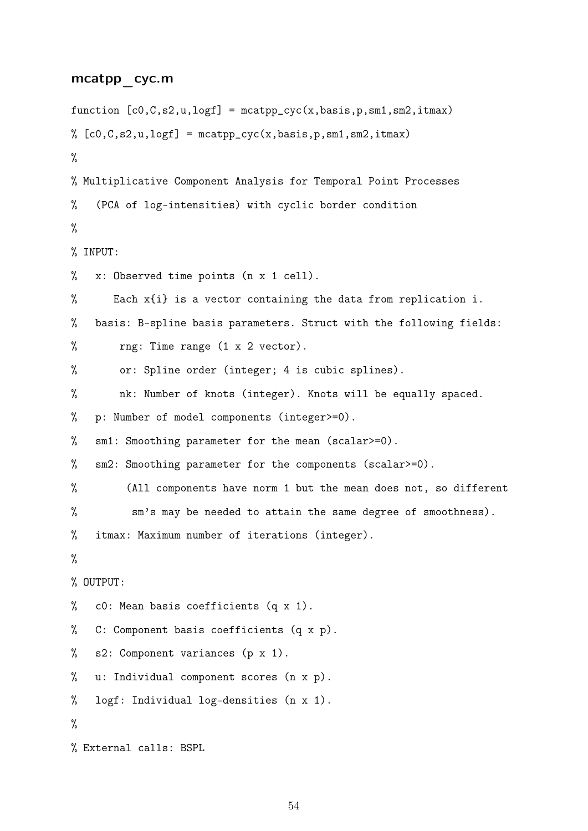#### mcatpp\_cyc.m

```
function [c0,C,s2,u,logf] = mcatpp_cyc(x,basis,p,sm1,sm2,itmax)% [co, C, s2, u, \text{log}f] = \text{mcatpp_cyc}(x, basis, p, sm1, sm2, itmax)%
% Multiplicative Component Analysis for Temporal Point Processes
% (PCA of log-intensities) with cyclic border condition
%
% INPUT:
% x: Observed time points (n x 1 cell).
% Each x{i} is a vector containing the data from replication i.
% basis: B-spline basis parameters. Struct with the following fields:
% rng: Time range (1 x 2 vector).
% or: Spline order (integer; 4 is cubic splines).
% nk: Number of knots (integer). Knots will be equally spaced.
% p: Number of model components (integer>=0).
% sm1: Smoothing parameter for the mean (scalar>=0).
% sm2: Smoothing parameter for the components (scalar>=0).
% (All components have norm 1 but the mean does not, so different
% sm's may be needed to attain the same degree of smoothness).
% itmax: Maximum number of iterations (integer).
%
% OUTPUT:
% c0: Mean basis coefficients (q x 1).
% C: Component basis coefficients (q x p).
% s2: Component variances (p x 1).
% u: Individual component scores (n x p).
% logf: Individual log-densities (n x 1).
\frac{9}{2}% External calls: BSPL
```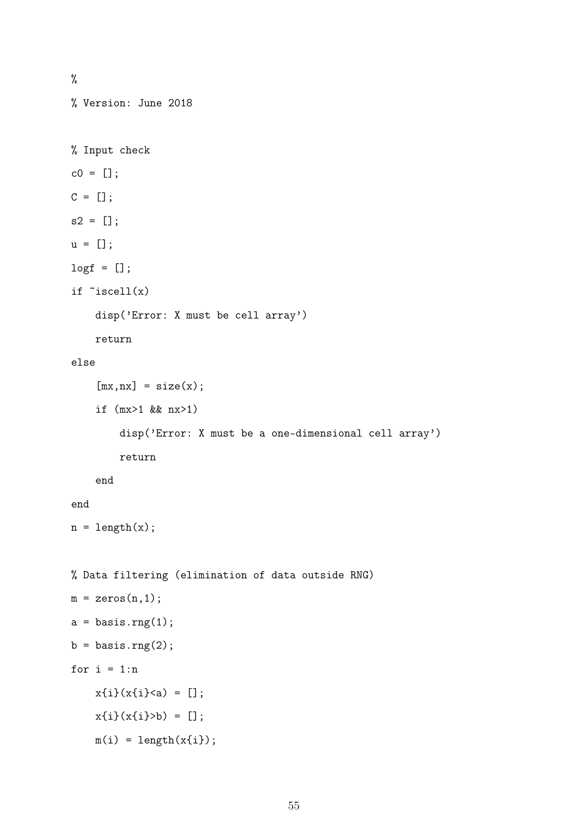% % Version: June 2018 % Input check  $c0 = []$ ;  $C = []$ ;  $s2 = []$ ;  $u = []$ ;  $log f = []$ ; if  $\tilde{}$  iscell $(x)$ disp('Error: X must be cell array') return else  $[mx, nx] = size(x);$ if (mx>1 && nx>1) disp('Error: X must be a one-dimensional cell array') return end end  $n = length(x);$ % Data filtering (elimination of data outside RNG)  $m = zeros(n, 1);$  $a = basis.rng(1);$  $b = basis.rng(2);$ for  $i = 1:n$  $x{i}(x{i} \times a) = []$ ;  $x{i}(x{i})>b$  = [];  $m(i) = length(x[i]);$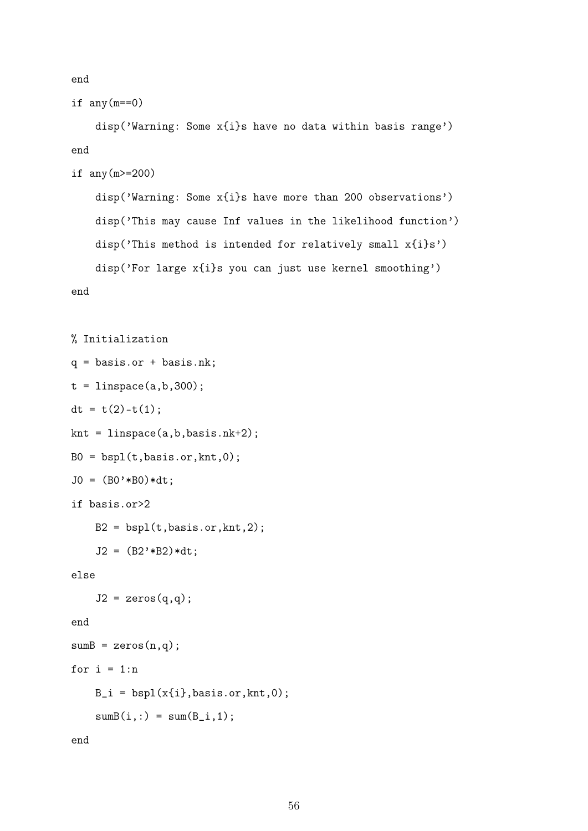end

```
if any(m==0)
```
disp('Warning: Some x{i}s have no data within basis range') end

```
if any(m>=200)
```
disp('Warning: Some x{i}s have more than 200 observations') disp('This may cause Inf values in the likelihood function') disp('This method is intended for relatively small x{i}s') disp('For large x{i}s you can just use kernel smoothing')

```
% Initialization
q = basis.or + basis.nk;
t = 1inspace(a, b, 300);
dt = t(2)-t(1);knt = linspace(a, b, basis.nk+2);B0 = bsp1(t,basis.or,knt,0);JO = (BO'*BO)*dt;if basis.or>2
    B2 = bsp1(t,basis.or,knt,2);J2 = (B2'*B2)*dt;else
    J2 = zeros(q,q);end
sumB = zeros(n,q);for i = 1:nB_i = bsp1(x{i},basis.or,knt,0);sumB(i,:) = sum(B_i,1);
```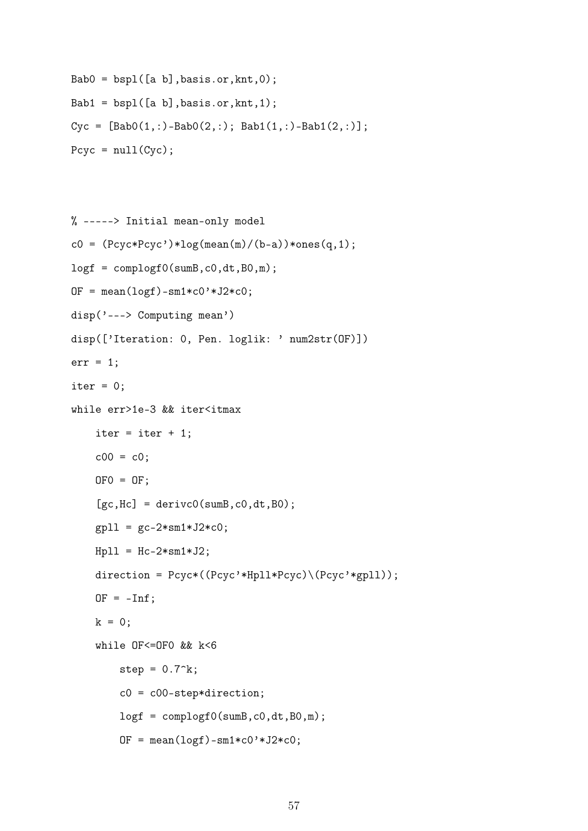```
Bab0 = bsp1([a b], basis.or, knt, 0);
Bab1 = bsp1([a b], basis.or, knt, 1);
Cyc = [Bab0(1,:)-Bab0(2,:); Bab1(1,:)-Bab1(2,:)];Pcyc = null(Cyc);
```

```
% -----> Initial mean-only model
c0 = (Pcyc*Pcyc') * log(mean(m)/(b-a))*ones(q,1);logf = complogf0(sumB, c0, dt, B0, m);OF = mean(logf) - sm1*c0'*J2*c0;disp('---> Computing mean')
disp(['Iteration: 0, Pen. loglik: ' num2str(OF)])
err = 1;
iter = 0;while err>1e-3 && iter<itmax
    iter = iter + 1;
    c00 = c0;OFO = OF;
    [gc, Hc] = derivc0(sumB, c0, dt, B0);gpl1 = gc - 2*sm1*J2*c0;Hp11 = Hc-2*sm1*J2;direction = Pcyc*((Pcyc'*Hpll*Pcyc)\(Pcyc'*gpll));
    OF = -Inf;k = 0:
    while OF<=OF0 && k<6
        step = 0.7^k;
        c0 = c00-step*direction;
        logf = complogf0(sumB,c0,dt,B0,m);
        OF = mean(logf) - sm1*c0'*J2*c0;
```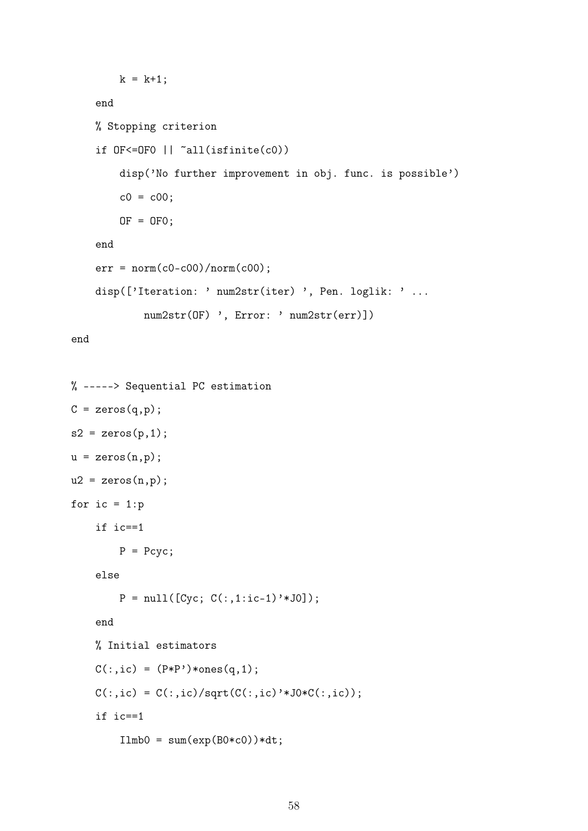```
k = k+1;end
% Stopping criterion
if OF<=OF0 || ~all(isfinite(c0))
    disp('No further improvement in obj. func. is possible')
   c0 = c00;OF = OF0;end
err = norm(c0-c00)/norm(c00);disp(['Iteration: ' num2str(iter) ', Pen. loglik: ' ...
       num2str(OF) ', Error: ' num2str(err)])
```

```
% -----> Sequential PC estimation
C = zeros(q, p);
s2 = zeros(p,1);u = zeros(n,p);u2 = zeros(n,p);for ic = 1:pif ic==1
       P = Pcyc;else
        P = null([Cyc; C(:,1:ic-1)'*J0]);end
    % Initial estimators
    C(:,ic) = (P*P') * ones(q,1);C(:,ic) = C(:,ic)/sqrt(C(:,ic)'*J0*C(:,ic));if ic==1
        Ilmb0 = sum(exp(B0*c0))*dt;
```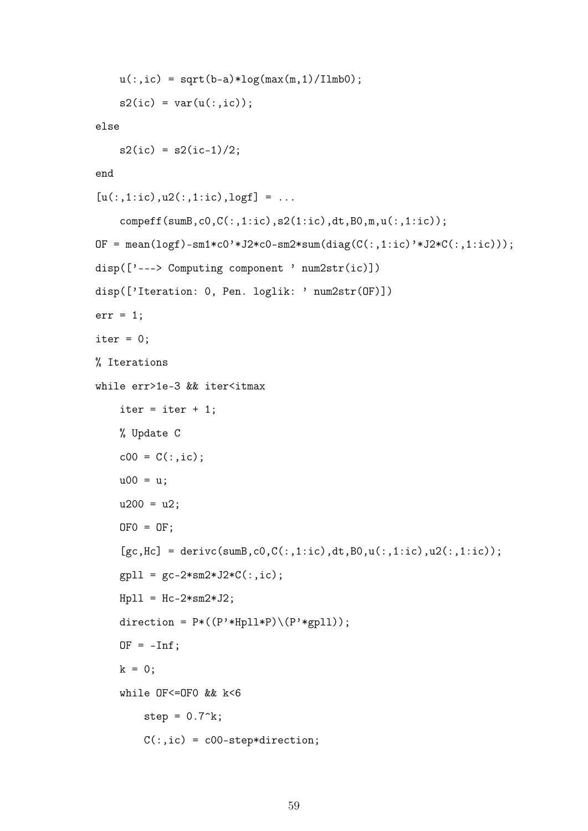```
u(:,ic) = sqrt(b-a)*log(max(m,1)/I1mb0);s2(ic) = var(u(:,ic));else
    s2(ic) = s2(ic-1)/2;end
[u(:,1:ic),u2(:,1:ic),logf] = ...compeff(sumB,c0,C(:,1:ic),s2(1:ic),dt,B0,m,u(:,1:ic));
OF = mean(logf)-sm1*c0'*J2*c0-sm2*sum(diag(C(:,1:ic)'*J2*C(:,1:ic)));
disp(['---> Computing component ' num2str(ic)])
disp(['Iteration: 0, Pen. loglik: ' num2str(OF)])
err = 1;
iter = 0;% Iterations
while err>1e-3 && iter<itmax
    iter = iter + 1;
    % Update C
    c00 = C(:,ic);u00 = u;u200 = u2;
    0F0 = OF;
    [gc, Hc] = derivc(sumB, c0, C(:,1:ic), dt, B0, u(:,1:ic), u2(:,1:ic));gpl1 = gc-2*sm2*J2*C(:,ic);Hp11 = Hc-2*sm2*J2;direction = P*((P' * Hp11 * P) \ (P' * gpl1));OF = -Inf:
    k = 0:
    while OF<=OF0 && k<6
        step = 0.7^k;
        C(:,ic) = c00-step*direction;
```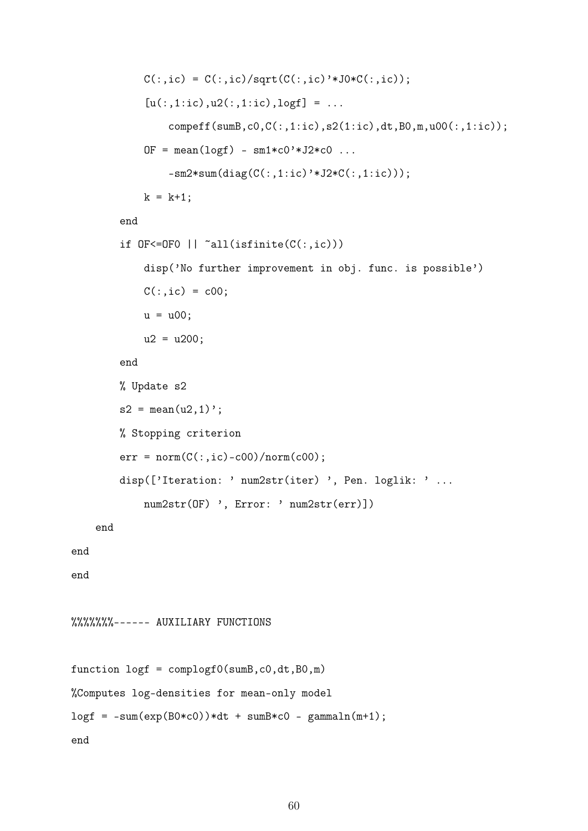```
C(:,ic) = C(:,ic)/sqrt(C(:,ic)'*J0*C(:,ic));[u(:,1:ic),u2(:,1:ic),logf] = ...compeff(sumB,c0,C(:,1:ic),s2(1:ic),dt,B0,m,u00(:,1:ic));
             OF = mean(logf) - sm1*c0'*J2*c0...-sm2*sum(diag(C(:,1:ic)'*J2*C(:,1:ic)));
             k = k+1:
        end
        if 0F \leq -0F0 || \infty all(isfinite(C(:,ic)))
             disp('No further improvement in obj. func. is possible')
             C(:,ic) = c00;u = u00;u2 = u200;end
        % Update s2
        s2 = \text{mean}(u2, 1);
        % Stopping criterion
        err = norm(C(:,ic)-c00)/norm(c00);disp(['Iteration: ' num2str(iter) ', Pen. loglik: ' ...
             num2str(OF) ', Error: ' num2str(err)])
    end
%%%%%%%------ AUXILIARY FUNCTIONS
function \text{log} f = \text{comple}(sumB, c0, dt, B0, m)%Computes log-densities for mean-only model
\text{log}f = -\text{sum}(\text{exp}(B0*C0)) * dt + \text{sum}B*C - \text{gamma}(m+1);
```
end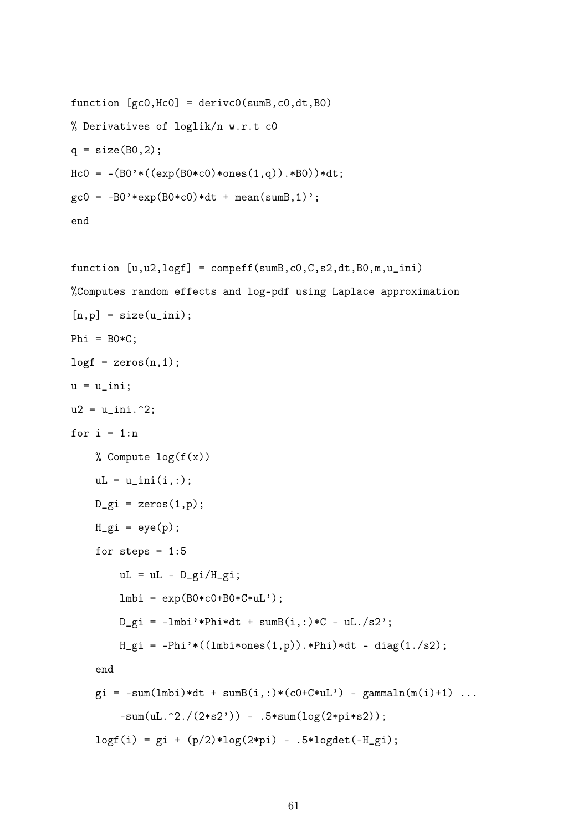```
function [gc0, Hc0] = derivc0(sumB, c0, dt, B0)% Derivatives of loglik/n w.r.t c0
q = size(80, 2);Hc0 = -(B0*((\exp(B0*c0)*ones(1,q)).*BO))*dt;\text{gc0} = -\text{B0'} * \text{exp}(\text{B0} * \text{c0}) * \text{dt} + \text{mean}(\text{sumB}, 1);
end
```

```
function [u,u2,logf] = compeff(sumB,c0,C,s2,dt,B0,m,u_ini)
%Computes random effects and log-pdf using Laplace approximation
[n,p] = size(u_ini);Phi = BO*C;log f = zeros(n, 1);u = u_ini;
u2 = u_{\text{ini}}. 2;for i = 1:n% Compute log(f(x))uL = u_ini(i,:);D_gi = zeros(1,p);
    H_g i = eye(p);
    for steps = 1:5uL = uL - D_gi/H_gi;
        lmbi = exp(B0*C0+B0*C*uL');D_gi = -1mbi'*Phi*dt + sumB(i,:)*C - uL./s2';
        H_gi = -Phi' * ((Imbi * ones(1, p)).*Phi' * dt - diag(1./s2);end
    g_i = -sum(lmbi)*dt + sumB(i,:)*(c0+C*uL') - gammaln(m(i)+1) ...-sum(ul.^2./(2*s2')) - .5*sum(log(2*pi*s2));log(f(i) = gi + (p/2)*log(2*pi) - .5*logdet(-H_gi);
```